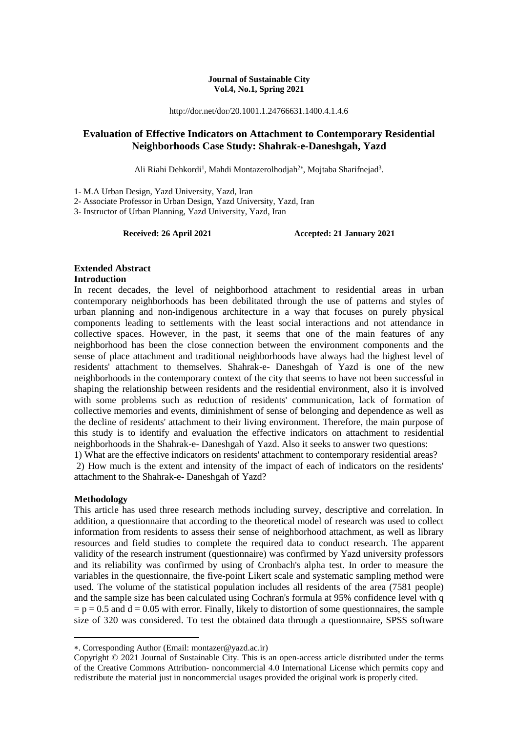#### **Journal of Sustainable City Vol.4, No.1, Spring 2021**

http://dor.net/dor/20.1001.1.24766631.1400.4.1.4.6

## **Evaluation of Effective Indicators on Attachment to Contemporary Residential Neighborhoods Case Study: Shahrak-e-Daneshgah, Yazd**

Ali Riahi Dehkordi<sup>1</sup>, Mahdi Montazerolhodjah<sup>2\*</sup>, Mojtaba Sharifnejad<sup>3</sup>.

1- M.A Urban Design, Yazd University, Yazd, Iran

2- Associate Professor in Urban Design, Yazd University, Yazd, Iran

3- Instructor of Urban Planning, Yazd University, Yazd, Iran

Received: 26 April 2021 **Accepted: 21 January 2021** 

## **Extended Abstract**

## **Introduction**

In recent decades, the level of neighborhood attachment to residential areas in urban contemporary neighborhoods has been debilitated through the use of patterns and styles of urban planning and non-indigenous architecture in a way that focuses on purely physical components leading to settlements with the least social interactions and not attendance in collective spaces. However, in the past, it seems that one of the main features of any neighborhood has been the close connection between the environment components and the sense of place attachment and traditional neighborhoods have always had the highest level of residents' attachment to themselves. Shahrak-e- Daneshgah of Yazd is one of the new neighborhoods in the contemporary context of the city that seems to have not been successful in shaping the relationship between residents and the residential environment, also it is involved with some problems such as reduction of residents' communication, lack of formation of collective memories and events, diminishment of sense of belonging and dependence as well as the decline of residents' attachment to their living environment. Therefore, the main purpose of this study is to identify and evaluation the effective indicators on attachment to residential neighborhoods in the Shahrak-e- Daneshgah of Yazd. Also it seeks to answer two questions:

1) What are the effective indicators on residents' attachment to contemporary residential areas? 2) How much is the extent and intensity of the impact of each of indicators on the residents' attachment to the Shahrak-e- Daneshgah of Yazd?

#### **Methodology**

**.** 

This article has used three research methods including survey, descriptive and correlation. In addition, a questionnaire that according to the theoretical model of research was used to collect information from residents to assess their sense of neighborhood attachment, as well as library resources and field studies to complete the required data to conduct research. The apparent validity of the research instrument (questionnaire) was confirmed by Yazd university professors and its reliability was confirmed by using of Cronbach's alpha test. In order to measure the variables in the questionnaire, the five-point Likert scale and systematic sampling method were used. The volume of the statistical population includes all residents of the area (7581 people) and the sample size has been calculated using Cochran's formula at 95% confidence level with q  $= p = 0.5$  and  $d = 0.05$  with error. Finally, likely to distortion of some questionnaires, the sample size of 320 was considered. To test the obtained data through a questionnaire, SPSS software

<sup>.</sup> Corresponding Author (Email: montazer@yazd.ac.ir)

Copyright © 2021 Journal of Sustainable City. This is an open-access article distributed under the terms of the Creative Commons Attribution- noncommercial 4.0 International License which permits copy and redistribute the material just in noncommercial usages provided the original work is properly cited.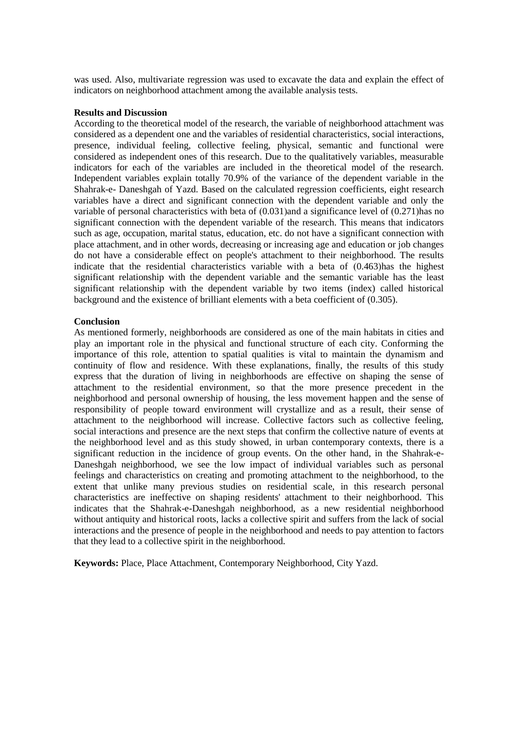was used. Also, multivariate regression was used to excavate the data and explain the effect of indicators on neighborhood attachment among the available analysis tests.

#### **Results and Discussion**

According to the theoretical model of the research, the variable of neighborhood attachment was considered as a dependent one and the variables of residential characteristics, social interactions, presence, individual feeling, collective feeling, physical, semantic and functional were considered as independent ones of this research. Due to the qualitatively variables, measurable indicators for each of the variables are included in the theoretical model of the research. Independent variables explain totally 70.9% of the variance of the dependent variable in the Shahrak-e- Daneshgah of Yazd. Based on the calculated regression coefficients, eight research variables have a direct and significant connection with the dependent variable and only the variable of personal characteristics with beta of  $(0.031)$  and a significance level of  $(0.271)$  has no significant connection with the dependent variable of the research. This means that indicators such as age, occupation, marital status, education, etc. do not have a significant connection with place attachment, and in other words, decreasing or increasing age and education or job changes do not have a considerable effect on people's attachment to their neighborhood. The results indicate that the residential characteristics variable with a beta of  $(0.463)$  has the highest significant relationship with the dependent variable and the semantic variable has the least significant relationship with the dependent variable by two items (index) called historical background and the existence of brilliant elements with a beta coefficient of (0.305).

#### **Conclusion**

As mentioned formerly, neighborhoods are considered as one of the main habitats in cities and play an important role in the physical and functional structure of each city. Conforming the importance of this role, attention to spatial qualities is vital to maintain the dynamism and continuity of flow and residence. With these explanations, finally, the results of this study express that the duration of living in neighborhoods are effective on shaping the sense of attachment to the residential environment, so that the more presence precedent in the neighborhood and personal ownership of housing, the less movement happen and the sense of responsibility of people toward environment will crystallize and as a result, their sense of attachment to the neighborhood will increase. Collective factors such as collective feeling, social interactions and presence are the next steps that confirm the collective nature of events at the neighborhood level and as this study showed, in urban contemporary contexts, there is a significant reduction in the incidence of group events. On the other hand, in the Shahrak-e-Daneshgah neighborhood, we see the low impact of individual variables such as personal feelings and characteristics on creating and promoting attachment to the neighborhood, to the extent that unlike many previous studies on residential scale, in this research personal characteristics are ineffective on shaping residents' attachment to their neighborhood. This indicates that the Shahrak-e-Daneshgah neighborhood, as a new residential neighborhood without antiquity and historical roots, lacks a collective spirit and suffers from the lack of social interactions and the presence of people in the neighborhood and needs to pay attention to factors that they lead to a collective spirit in the neighborhood.

**Keywords:** Place, Place Attachment, Contemporary Neighborhood, City Yazd.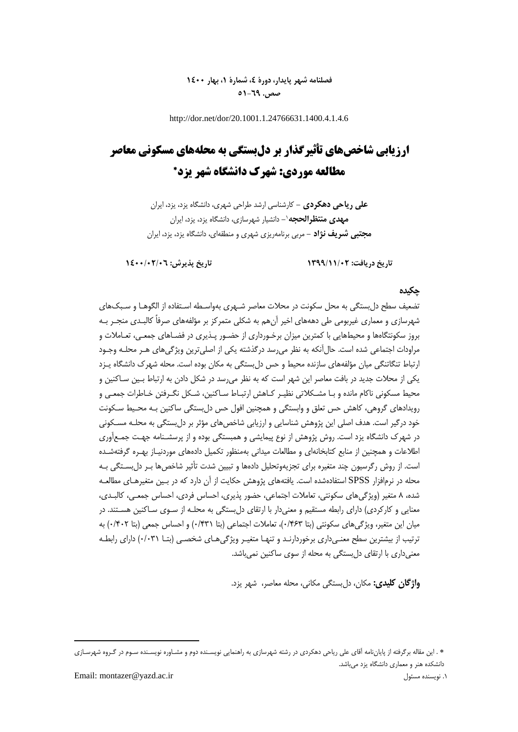## **فصلنامه شهر پایدار، دورۀ ،4 شمارۀ ،1 بهار 1400 صص. 51-69**

http://dor.net/dor/20.1001.1.24766631.1400.4.1.4.6

# **ارزیابی شاخصهای تأثیرگذار بر دلبستگی به محلههای مسکونی معاصر مطالعه موردی: شهرک دانشگاه شهر یزد**

**علی ریاحی دهکردی -** کارشناسی ارشد طراحی شهری، دانشگاه یزد، یزد، ایران **-** دانشیار شهرسازی، دانشگاه یزد، یزد، ایران <sup>1</sup> **مهدی منتظرالحجه مجتبی شریف نژاد -** مربی برنامهریزی شهری و منطقهای، دانشگاه یزد، یزد، ایران

**تاریخ دریافت: 1399/11/02 تاریخ پذیرش: 1400/02/06**

#### **چکیده**

تضعیف سطح دلبستگی به محل سکونت در محالت معاصر شـهری بهواسـطه اسـتفاده از الگوهـا و سـبکهای شهرسازی و معماری غیربومی طی دهههای اخیر آنهم به شکلی متمرکز بر مؤلفههای صرفاً کالبـدی منجـر بـه بروز سکونتگاهها و محیطهایی با کمترین میزان برخـورداری از حضـور پـذیری در فضـاهای جمعـی، تعـاملات و مراودات اجتماعی شده است. حالآنکه به نظر میرسد درگذشته یکی از اصلیترین ویژگیهای هـر محلـه وجـود ارتباط تنگاتنگی میان مؤلفههای سازنده محیط و حس دلبستگی به مکان بوده است. محله شهرک دانشگاه یـزد یکی از محلات جدید در بافت معاصر این شهر است که به نظر می رسد در شکل دادن به ارتباط بـین سـاکنین و محیط مسکونی ناکام مانده و بـا مشـکلاتی نظیـر کـاهش ارتبـاط سـاکنین، شـکل نگـرفتن خـاطرات جمعـی و رویدادهای گروهی، کاهش حس تعلق و وابستگی و همچنین افول حس دلبستگی ساکنین بـه محـی سـکونت خود درگیر است. هدف اصلی این پژوهش شناسایی و ارزیابی شاخصهای مؤثر بر دلبستگی به محلـه مسـکونی در شهرك دانشگاه یزد است. روش پژوهش از نوع پیمایشی و همبستگی بوده و از پرسشـنامه جهـت جمـعآوری اطالعات و همچنین از منابع کتابخانهای و مطالعات میدانی بهمنظور تکمیل دادههای موردنیـاز بهـره گرفتهشـده است. از روش رگرسیون چند متغیره برای تجزیهوتحلیل دادهها و تبیین شدت تأثیر شاخصها بـر دلبسـتگی بـه محله در نرمافزار SPSS استفادهشده است. یافتههای پژوهش حکایت از آن دارد که در بـین متغیرهـای مطالعـه شده، 8 متغیر )ویژگیهای سکونتی، تعامالت اجتماعی، حضور پذیری، احساس فردی، احساس جمعـی، کالبـدی، معنایی و کارکردی) دارای رابطه مستقیم و معنیدار با ارتقای دلبستگی به محلـه از سـوی سـاکنین هسـتند. در میان این متغیر، ویژگی های سکونتی (بتا ۰/۴۶۳)، تعاملات اجتماعی (بتا ۰/۴۳۱) و احساس جمعی (بتا ۰/۴۰۲) به ترتیب از بیشترین سطح معنـیداری برخوردارنـد و تنهـا متغیـر ویژگیهـای شخصـی )بتـا 0/031( دارای رابطـه معنی داری با ارتقای دل بستگی به محله از سوی ساکنین نمی باشد.

**واژگان کلیدی:** مکان، دلبستگی مکانی، محله معاصر، شهر یزد.

1

. این مقاله برگرفته از پایاننامه آقای علی ریاحی دهکردی در رشته شهرسازی به راهنمایی نویسـنده دوم و مشـاوره نویسـنده سـوم در گـروه شهرسـازی دانشکده هنر و معماری دانشگاه یزد میباشد.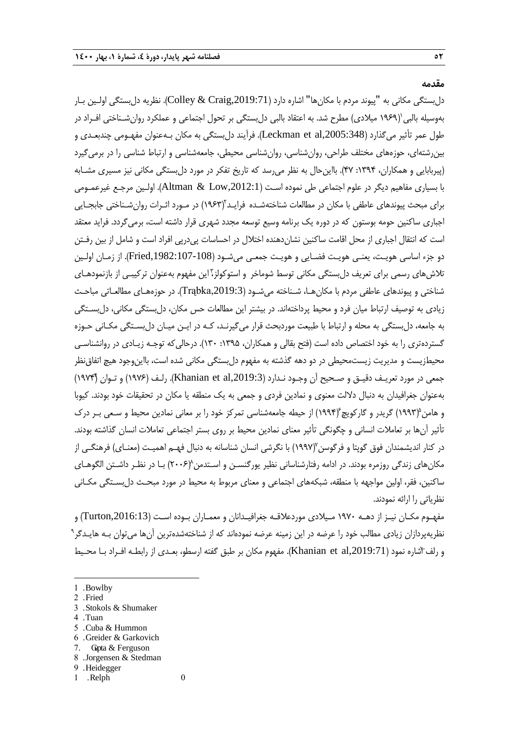#### **مقدمه**

دلبستگی مکانی به "پیوند مردم با مکانها" اشاره دارد ),2019:71Craig & Colley). نظریه دلبستگی اولـین بـار 1 بهوسیله بالبی )1969 میالدی( مطرح شد. به اعتقاد بالبی دلبستگی بر تحول اجتماعی و عملکرد روانشـناختی افـراد در طول عمر تأثیر میگذارد ),2005:348al et Leckman). فرآیند دلبستگی به مکان بـهعنوان مفهـومی چندبعـدی و بینرشتهای، حوزههای مختلف طراحی، روانشناسی، روانشناسی محیطی، جامعهشناسی و ارتبا شناسی را در برمیگیرد )پیربابایی و همکاران، :1394 47(. بااینحال به نظر میرسد که تاریخ تفکر در مورد دلبستگی مکانی نیز مسیری مشـابه با بسیاری مفاهیم دیگر در علوم اجتماعی طی نموده اسـت (Altman & Low,2012:1). اولـین مرجـع غیرعمـومی برای مبحث پیوندهای عاطفی با مکان در مطالعات شناختهشـده فرایـد'(۱۹۶۳) در مـورد اثـرات روان٬شـناختی جابجــایی اجباری ساکنین حومه بوستون که در دوره یک برنامه وسیع توسعه مجدد شهری قرار داشته است، برمیگردد. فراید معتقد است که انتقال اجباری از محل اقامت ساکنین نشاندهنده اختالل در احساسات پیدرپی افراد است و شامل از بین رفـتن دو جزء اساسی هویـت، یعنـی هویـت فضـایی و هویـت جمعـی میشـود ),1982:107-108Fried). از زمـان اولـین نلاشهای رسمی برای تعریف دلبستگی مکانی توسط شوماخر و استوکولز،ّا این مفهوم بهعنوان ترکیبـی از بازنمودهـای شناختی و پیوندهای عاطفی مردم با مکان هـا، شـناخته می شـود (Trąbka,2019:3). در حوزههـای مطالعـاتی مباحـث زیادی به توصیف ارتباط میان فرد و محیط پرداختهاند. در بیشتر این مطالعات حس مکان، دلبستگی مکانی، دلبسـتگی به جامعه، دل بستگی به محله و ارتباط با طبیعت موردبحث قرار می گیرنـد، کـه در ایـن میـان دل بسـتگی مکـانی حـوزه گستردهتری را به خود اختصاص داده است (فتح بقالی و همکاران، ۱۳۹۵: ۱۳۰). درحالی که توجـه زیـادی در روانشناسـی محیطزیست و مدیریت زیستمحیطی در دو دهه گذشته به مفهوم دل بستگی مکانی شده است، بااین<code>وجود هیچ اتفاق</code>نظر جمعی در مورد تعریـف دقیـق و صـحیح آن وجـود نـدارد (Khanian et al,2019:3). رلـف (۱۹۷۶) و تـوان (۱۹۷۴) بهعنوان جغرافیدان به دنبال داللت معنوی و نمادین فردی و جمعی به یک منطقه یا مکان در تحقیقات خود بودند. کیوبا و هامن°(۱۹۹۳) گریدر و گارکویچ گ(۱۹۹۴) از حیطه جامعهشناسی تمرکز خود را بر معانی نمادین محیط و سـعی بـر درک تأثیر آنها بر تعاملات انسانی و چگونگی تأثیر معنای نمادین محیط بر روی بستر اجتماعی تعاملات انسان گذاشته بودند. در کنار اندیشمندان فوق گوپتا و فرگوسنِ٬۱۹۹۷) با نگرشی انسان شناسانه به دنبال فهـم اهمیـت (معنـای) فرهنگـی از مکان های زندگی روزمره بودند. در ادامه رفتارشناسانی نظیر پورگنسـن و اسـتدمن ۲۰۰۶) بـا در نظـر داشـتن الگوهـای ساکنین، فقر، اولین مواجهه با منطقه، شبکههای اجتماعی و معنای مربوط به محیط در مورد مبحـث دلبسـتگی مکـانی نظریاتی را ارائه نمودند.

مفهـوم مکـان نیـز از دهـه 1970 مـیالدی موردعالقـه جغرافیـدانان و معمـاران بـوده اسـت ),2016:13Turton )و نظریهپردازان زیادی مطالب خود را عرضه در این زمینه عرضه نمودهاند که از شناختهشدهترین آنها میتوان بـه هایـدگر<sup>۹</sup> و رلف اشاره نمود (Khanian et al,2019:71). مفهوم مکان بر طبق گفته ارسطو، بعـدی از رابطـه افـراد بـا محـيط

- 1 . Bowlby
- 2 . Fried

**.** 

- 3 . Stokols & Shumaker
- 4 . Tuan
- 5 . Cuba & Hummon

- 7. Gipta & Ferguson
- 8 . Jorgensen & Stedman
- 9 . Heidegger
- 1 . Relph 0

<sup>6</sup> . Greider & Garkovich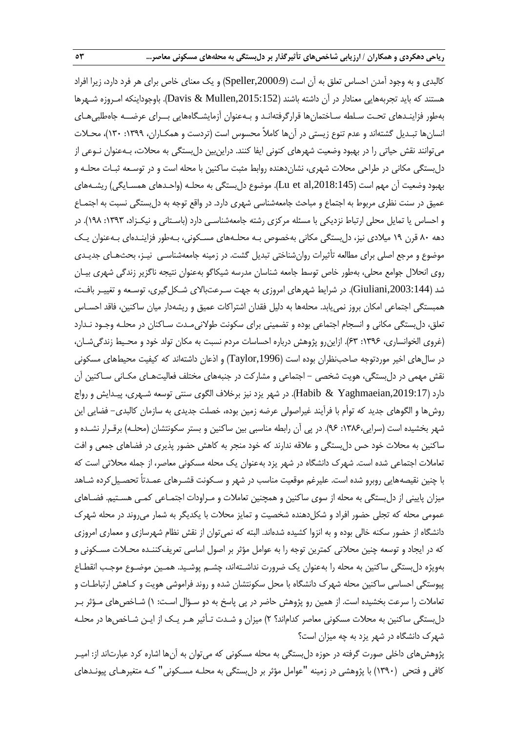کالبدی و به وجود آمدن احساس تعلق به آن است ),2000:9Speller )و یک معنای خاص برای هر فرد دارد، زیرا افراد هستند که باید تجربههایی معنادار در آن داشته باشند ),2015:152Mullen & Davis). باوجوداینکه امـروزه شـهرها بهطور فزاینـدهای تحـت سـلطه سـاختمانها قرارگرفتهانـد و بـهعنوان آزمایشـگاههایی بــرای عرضــه جاهطلبیهـای انسانها تبـدیل گشتهاند و عدم تنوع زیستی در آنها کامالً محسوس است )تردست و همکـاران، :1399 130(، محـالت میتوانند نقش حیاتی را در بهبود وضعیت شهرهای کنونی ایفا کنند. دراینبین دلبستگی به محالت، بـهعنوان نـوعی از دلبستگی مکانی در طراحی محلات شهری، نشان دهنده روابط مثبت ساکنین با محله است و در توسـعه ثبـات محلـه و بهبود وضعیت آن مهم است (Lu et al,2018:145). موضوع دل بستگی به محلـه (واحـدهای همسـایگی) ریشـههای عمیق در سنت نظری مربوط به اجتماع و مباحث جامعهشناسی شهری دارد. در واقع توجه به دلبستگی نسبت به اجتمـاع و احساس یا تمایل محلی ارتباط نزدیکی با مسئله مرکزی رشته جامعهشناسـی دارد (باسـتانی و نیکـزاد، ١٣٩٣: ١٩٨). در دهه 80 قرن 19 میالدی نیز، دلبستگی مکانی بهخصوص بـه محلـههای مسـکونی، بـهطور فزاینـدهای بـهعنوان یـک موضوع و مرجع اصلی برای مطالعه تأثیرات روانشناختی تبدیل گشت. در زمینه جامعهشناسـی نیـز، بحثهـای جدیـدی روی انحلال جوامع محلی، بهطور خاص توسط جامعه شناسان مدرسه شیکاگو بهعنوان نتیجه ناگزیر زندگی شهری بیـان شد (Giuliani,2003:144). در شرایط شهرهای امروزی به جهت سـرعتبالای شـکلگیری، توسـعه و تغییـر بافـت، همبستگی اجتماعی امکان بروز نمییابد. محلهها به دلیل فقدان اشتراکات عمیق و ریشهدار میان ساکنین، فاقد احسـاس تعلق، دلبستگی مکانی و انسجام اجتماعی بوده و تضمینی برای سکونت طوالنیمـدت سـاکنان در محلـه وجـود نـدارد (غروی الخوانساری، ۱۳۹۶: ۶۳). ازاین رو پژوهش درباره احساسات مردم نسبت به مکان تولد خود و محـیط زندگیشـان، در سالهای اخیر موردتوجه صاحبنظران بوده است (Taylor,1996) و اذعان داشتهاند که کیفیت محیطهای مسکونی نقش مهمی در دلبستگی، هویت شخصی - اجتماعی و مشارکت در جنبههای مختلف فعالیتهـای مکـانی سـاکنین آن دارد ),2019:17Yaghmaeian & Habib). در شهر یزد نیز برخالف الگوی سنتی توسعه شـهری، پیـدایش و رواج روشها و الگوهای جدید که توأم با فرأیند غیراصولی عرضه زمین بوده، خصلت جدیدی به سازمان کالبدی– فضایی این شهر بخشیده است (سرایی،۱۳۸۶: ۹۶). در پی آن رابطه مناسبی بین ساکنین و بستر سکونتشان (محلـه) برقـرار نشـده و ساکنین به محالت خود حس دلبستگی و عالقه ندارند که خود منجر به کاهش حضور پذیری در فضاهای جمعی و افت تعامالت اجتماعی شده است. شهرك دانشگاه در شهر یزد بهعنوان یک محله مسکونی معاصر، از جمله محالتی است که با چنین نقیصههایی روبرو شده است. علیررم موقعیت مناسب در شهر و سـکونت قشـرهای عمـدتاً تحصـیلکرده شـاهد میزان پایینی از دلبستگی به محله از سوی ساکنین و همچنین تعامالت و مـراودات اجتمـاعی کمـی هسـتیم. فضـاهای عمومی محله که تجلی حضور افراد و شکلدهنده شخصیت و تمایز محالت با یکدیگر به شمار میروند در محله شهرك دانشگاه از حضور سکنه خالی بوده و به انزوا کشیده شدهاند. البته که نمیتوان از نقش نظام شهرسازی و معماری امروزی که در ایجاد و توسعه چنین محالتی کمترین توجه را به عوامل مؤثر بر اصول اساسی تعریفکننـده محـالت مسـکونی و بهویژه دلبستگی ساکنین به محله را بهعنوان یک ضرورت نداشـتهاند، چشـم پوشـید. همـین موضـوع موجـب انقطـاع پیوستگی احساسی ساکنین محله شهرك دانشگاه با محل سکونتشان شده و روند فراموشی هویت و کـاهش ارتباطـات و تعامالت را سرعت بخشیده است. از همین رو پژوهش حاضر در پی پاسخ به دو سـؤال اسـت: 1( شـاخصهای مـؤثر بـر دلبستگی ساکنین به محالت مسکونی معاصر کداماند؟ 2( میزان و شـدت تـأثیر هـر یـک از ایـن شـاخصها در محلـه شهرك دانشگاه در شهر یزد به چه میزان است؟

پژوهشهای داخلی صورت گرفته در حوزه دلبستگی به محله مسکونی که میتوان به آنها اشاره کرد عبارتاند از: امیـر کافی و فتحی )1390( با پژوهشی در زمینه "عوامل مؤثر بر دلبستگی به محلـه مسـکونی" کـه متغیرهـای پیونـدهای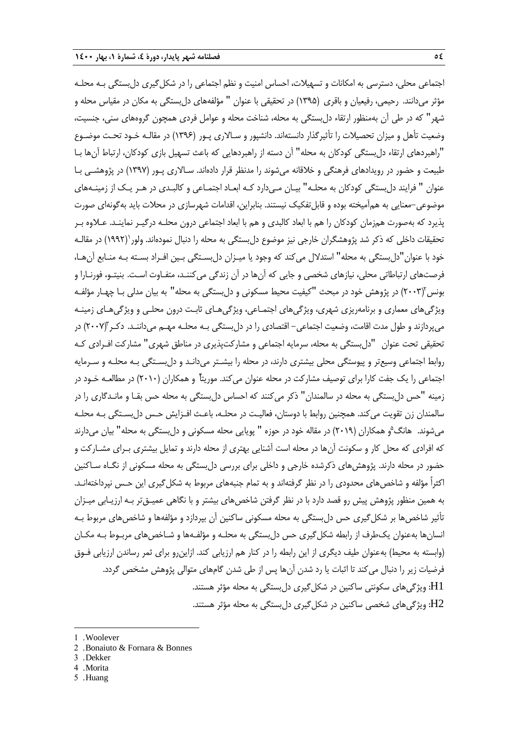اجتماعی محلی، دسترسی به امکانات و تسهیالت، احساس امنیت و نظم اجتماعی را در شکلگیری دلبستگی بـه محلـه مؤثر میدانند. رحیمی، رفیعیان و باقری )1395( در تحقیقی با عنوان " مؤلفههای دلبستگی به مکان در مقیاس محله و شهر" که در طی آن بهمنظور ارتقاء دلبستگی به محله، شناخت محله و عوامل فردی همچون گروههای سنی، جنسیت، وضعیت تأهل و میزان تحصیالت را تأثیرگذار دانستهاند. دانشپور و سـاالری پـور )1396( در مقالـه خـود تحـت موضـوع "راهبردهای ارتقاء دلبستگی کودکان به محله" آن دسته از راهبردهایی که باعث تسهیل بازی کودکان، ارتباط آنها بـا طبیعت و حضور در رویدادهای فرهنگی و خالقانه میشوند را مدنظر قرار دادهاند. سـاالری پـور )1397( در پژوهشـی بـا عنوان " فرایند دلبستگی کودکان به محلـه" بیـان مـیدارد کـه ابعـاد اجتمـاعی و کالبـدی در هـر یـک از زمینـههای موضوعی-معنایی به همآمیخته بوده و قابلتفکیک نیستند. بنابراین، اقدامات شهرسازی در محالت باید بهگونهای صورت پذیرد که بهصورت همزمان کودکان را هم با ابعاد کالبدی و هم با ابعاد اجتماعی درون محلـه درگیـر نماینـد. عـالوه بـر نحقیقات داخلی که ذکر شد پژوهشگران خارجی نیز موضوع دل بستگی به محله را دنبال نمودهاند. ولور (۱۹۹۲) در مقالــه خود با عنوان"دلبستگی به محله" استدالل میکند که وجود یا میـزان دلبسـتگی بـین افـراد بسـته بـه منـابع آنهـا، فرصتهای ارتباطاتی محلی، نیازهای شخصی و جایی که آنها در آن زندگی میکننـد، متفـاوت اسـت. بنیتـو، فورنـارا و بونس'(۲۰۰۳) در پژوهش خود در مبحث "کیفیت محیط مسکونی و دل بستگی به محله" به بیان مدلی بـا چهـار مؤلفـه ویژگیهای معماری و برنامهریزی شهری، ویژگیهای اجتمـاعی، ویژگیهـای ثابـت درون محلـی و ویژگیهـای زمینـه میپردازند و طول مدت اقامت، وضعیت اجتماعی– اقتصادی را در دل بستگی بـه محلـه مهـم میداننـد. دکـر "(۲۰۰۷) در تحقیقی تحت عنوان "دلبستگی به محله، سرمایه اجتماعی و مشارکتپذیری در مناطق شهری" مشارکت افـرادی کـه روابط اجتماعی وسیعتر و پیوستگی محلی بیشتری دارند، در محله را بیشـتر میدانـد و دلبسـتگی بـه محلـه و سـرمایه 'جتماعی را یک جفت کارا برای توصیف مشارکت در محله عنوان میکند. موریتاً و همکاران (۲۰۱۰) در مطالعـه خـود در زمینه "حس دلبستگی به محله در سالمندان" ذکر میکنند که احساس دلبستگی به محله حس بقـا و مانـدگاری را در سالمندان زن تقویت میکند. همچنین روابط با دوستان، فعالیـت در محلـه، باعـث افـزایش حـس دل بسـتگی بـه محلـه میشوند. هانگ<sup>۵</sup>و همکاران (۲۰۱۹) در مقاله خود در حوزه " پویایی محله مسکونی و دلبستگی به محله" بیان میدارند که افرادی که محل کار و سکونت آنها در محله است آشنایی بهتری از محله دارند و تمایل بیشتری بـرای مشـارکت و حضور در محله دارند. پژوهشهای ذکرشده خارجی و داخلی برای بررسی دلبستگی به محله مسکونی از نگـاه سـاکنین اکثراً مؤلفه و شاخصهای محدودی را در نظر گرفتهاند و به تمام جنبههای مربوط به شکلگیری این حـس نپرداختهانـد. به همین منظور پژوهش پیش رو قصد دارد با در نظر گرفتن شاخصهای بیشتر و با نگاهی عمیـقتر بـه ارزیـابی میـزان تأثیر شاخصها بر شکل گیری حس دلبستگی به محله مسکونی ساکنین آن بپردازد و مؤلفهها و شاخصهای مربوط بـه انسانها بهعنوان یکطرف از رابطه شکلگیری حس دلبستگی به محلـه و مؤلفـهها و شـاخصهای مربـو بـه مکـان (وابسته به محیط) بهعنوان طیف دیگری از این رابطه را در کنار هم ارزیابی کند. ازاین رو برای ثمر رساندن ارزیابی فـوق فرضیات زیر را دنبال میکند تا اثبات یا رد شدن آنها پس از طی شدن گامهای متوالی پژوهش مشخص گردد. 1H: ویژگیهای سکونتی ساکنین در شکلگیری دلبستگی به محله مؤثر هستند. . ویژگی های شخصی ساکنین در شکل گیری دل بستگی به محله مؤثر هستند. $\rm H2$ 

3 . Dekker

**.** 

- 4 . Morita
- 5 . Huang

<sup>1</sup> . Woolever

<sup>2</sup> . Bonaiuto & Fornara & Bonnes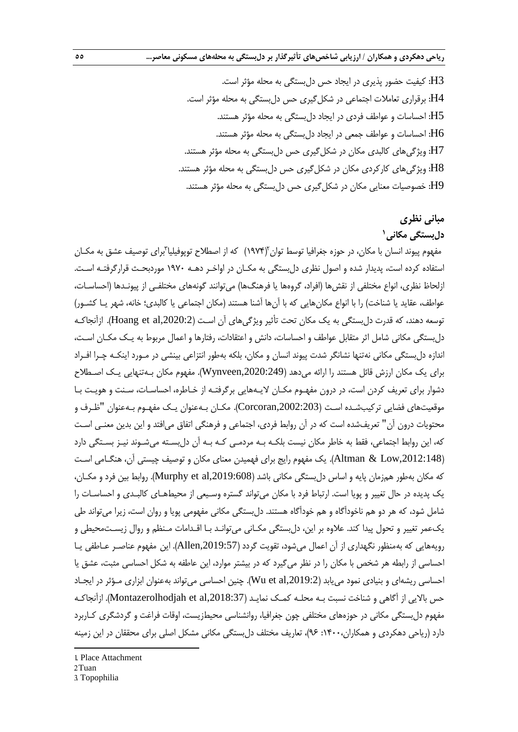$3$ : کیفیت حضور پذیری در ایجاد حس دل بستگی به محله مؤثر است. 4H: برقراری تعامالت اجتماعی در شکلگیری حس دلبستگی به محله مؤثر است. احساسات و عواطف فردی در ایجاد دلبستگی به محله مؤثر هستند. ${\rm H}5$ ا: احساسات و عواطف جمعی در ایجاد دل بستگی به محله مؤثر هستند. $\rm HO$ 7H: ویژگیهای کالبدی مکان در شکلگیری حس دلبستگی به محله مؤثر هستند. 8H: ویژگیهای کارکردی مکان در شکلگیری حس دلبستگی به محله مؤثر هستند. 9H: خصوصیات معنایی مکان در شکلگیری حس دلبستگی به محله مؤثر هستند.

## **مبانی نظری**

## **1 دلبستگی مکانی**

مفهوم پیوند انسان با مکان، در حوزه جغرافیا توسط توان"(۱۹۷۴) که از اصطلاح توپوفیلیا"برای توصیف عشق به مکـان استفاده کرده است، پدیدار شده و اصول نظری دلبستگی به مکـان در اواخـر دهـه ۱۹۷۰ موردبحـث قرارگرفتـه اسـت. ازلحاظ نظری، انواع مختلفی از نقشها (افراد، گروهها یا فرهنگـها) میتوانند گونههای مختلفـی از پیونـدها (احساسـات، عواطف، عقاید یا شناخت) را با انواع مکانهایی که با آنها آشنا هستند (مکان اجتماعی یا کالبدی؛ خانه، شهر یـا کشـور) توسعه دهند، که قدرت دلبستگی به یک مکان تحت تأثیر ویژگیهای آن اسـت (Hoang et al,2020:2). ازآنجاکـه دلبستگی مکانی شامل اثر متقابل عواطف و احساسات، دانش و اعتقادات، رفتارها و اعمال مربو به یـک مکـان اسـت، اندازه دلبستگی مکانی نهتنها نشانگر شدت پیوند انسان و مکان، بلکه بهطور انتزاعی بینشی در مـورد اینکـه چـرا افـراد برای یک مکان ارزش قائل هستند را ارائه میدهد (Wynveen,2020:249). مفهوم مکان بـهتنهایی یـک اصـطلاح دشوار برای تعریف کردن است، در درون مفهـوم مکـان الیـههایی برگرفتـه از خـاطره، احساسـات، سـنت و هویـت بـا موقعیتهای فضایی ترکیبشـده اسـت ),2002:203Corcoran). مکـان بـهعنوان یـک مفهـوم بـهعنوان "ظـرف و محتویات درون آن" تعریفشده است که در آن روابط فردی، اجتماعی و فرهنگی اتفاق میافتد و این بدین معنـی اسـت که، این روابط اجتماعی، فقط به خاطر مکان نیست بلکـه بـه مردمـی کـه بـه آن دلبسـته میشـوند نیـز بسـتگی دارد ),2012:148Low & Altman). یک مفهوم رایج برای فهمیدن معنای مکان و توصیف چیستی آن، هنگـامی اسـت که مکان بهطور همزمان پایه و اساس دل بستگی مکانی باشد (Murphy et al,2019:608). روابط بین فرد و مکـان، یک پدیده در حال تغییر و پویا است. ارتباط فرد با مکان می تواند گستره وسـیعی از محیطهـای کالبـدی و احساسـات را شامل شود، که هر دو هم ناخودآگاه و هم خودآگاه هستند. دلبستگی مکانی مفهومی پویا و روان است، زیرا میتواند طی یکعمر تغییر و تحول پیدا کند. عالوه بر این، دلبستگی مکـانی میتوانـد بـا اقـدامات مـنظم و روال زیسـتمحیطی و رویههایی که بهمنظور نگهداری از آن اعمال میشود، تقویت گردد ),2019:57Allen). این مفهوم عناصـر عـاطفی یـا احساسی از رابطه هر شخص با مکان را در نظر میگیرد که در بیشتر موارد، این عاطفه به شکل احساسی مثبت، عشق یا احساسی ریشهای و بنیادی نمود مییابد ),2019:2al et Wu). چنین احساسی میتواند بهعنوان ابزاری مـؤثر در ایجـاد حس باالیی از آگاهی و شناخت نسبت بـه محلـه کمـک نمایـد ),2018:37al et Montazerolhodjah). ازآنجاکـه مفهوم دلبستگی مکانی در حوزههای مختلفی چون جغرافیا، روانشناسی محیطزیست، اوقات فراغت و گردشگری کـاربرد دارد (ریاحی دهکردی و همکاران،۱۴۰۰: ۹۶)، تعاریف مختلف دل بستگی مکانی مشکل اصلی برای محققان در این زمینه

2. Tuan

1

3. Topophilia

<sup>1</sup>. Place Attachment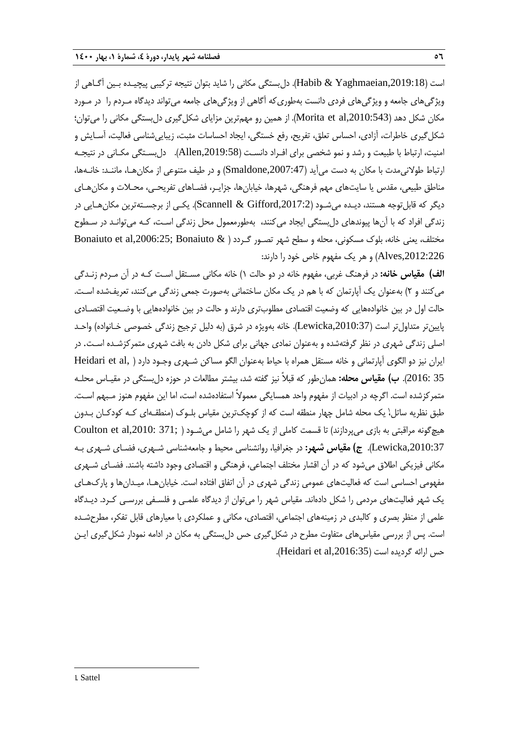است ),2019:18Yaghmaeian & Habib). دلبستگی مکانی را شاید بتوان نتیجه ترکیبی پیچیـده بـین آگـاهی از ویژگیهای جامعه و ویژگیهای فردی دانست بهطوریکه آگاهی از ویژگیهای جامعه میتواند دیدگاه مـردم را در مـورد مکان شکل دهد ),2010:543al et Morita). از همین رو مهمترین مزایای شکلگیری دلبستگی مکانی را میتوان؛ شکلگیری خاطرات، آزادی، احساس تعلق، تفریح، رفع خستگی، ایجاد احساسات مثبت، زیباییشناسی فعالیت، آسـایش و امنیت، ارتباط با طبیعت و رشد و نمو شخصی برای افـراد دانسـت (Allen,2019:58). دل بسـتگی مکـانی در نتیجـه ارتباط طولانی مدت با مکان به دست می آید (Smaldone,2007:47) و در طیف متنوعی از مکان هـا، ماننـد: خانـهها، مناطق طبیعی، مقدس یا سایتهای مهم فرهنگی، شهرها، خیابانها، جزایـر، فضـاهای تفریحـی، محـالت و مکانهـای دیگر که قابل توجه هستند، دیـده می شـود (Scannell & Gifford,2017:2). یکـی از برجسـتهترین مکان،هـایی در زندگی افراد که با آنها پیوندهای دلبستگی ایجاد میکنند، بهطورمعمول محل زندگی اسـت، کـه میتوانـد در سـطوح مختلف، یعنی خانه، بلوک مسکونی، محله و سطح شهر تصـور گـردد ( & Bonaiuto et al,2006:25; Bonaiuto & ,2012:226Alves )و هر یک مفهوم خاص خود را دارند:

**الف( مقیاس خانه:** در فرهنگ رربی، مفهوم خانه در دو حالت 1( خانه مکانی مسـتقل اسـت کـه در آن مـردم زنـدگی میکنند و 2( بهعنوان یک آپارتمان که با هم در یک مکان ساختمانی بهصورت جمعی زندگی میکنند، تعریفشده اسـت. حالت اول در بین خانوادههایی که وضعیت اقتصادی مطلوبتری دارند و حالت در بین خانوادههایی با وضـعیت اقتصـادی پایینتر متداولتر است (Lewicka,2010:37). خانه بهویژه در شرق (به دلیل ترجیح زندگی خصوصی خـانواده) واحـد اصلی زندگی شهری در نظر گرفتهشده و بهعنوان نمادی جهانی برای شکل دادن به بافت شهری متمرکزشـده اسـت. در ایران نیز دو الگوی آپارتمانی و خانه مستقل همراه با حیاط بهعنوان الگو مساکن شـهری وجـود دارد ( ,Heidari et al 35 2016:(. **ب( مقیاس محله:** همانطور که قبالً نیز گفته شد، بیشتر مطالعات در حوزه دلبستگی در مقیـاس محلـه متمرکزشده است. اگرچه در ادبیات از مفهوم واحد همسایگی معموالً استفادهشده است، اما این مفهوم هنوز مـبهم اسـت. طبق نظریه ساتل،ٰ یک محله شامل چهار منطقه است که از کوچکترین مقیاس بلـوک (منطقـهای کـه کودکـان بـدون هیچگونه مراقبتی به بازی میپردازند) تا قسمت کاملی از یک شهر را شامل میشـود ( ;Coulton et al,2010: 371 Lewicka,2010:37). ج) **مقیاس شهر:** در جغرافیا، روانشناسی محیط و جامعهشناسی شـهری، فضـای شـهری بـه مکانی فیزیکی اطالق میشود که در آن اقشار مختلف اجتماعی، فرهنگی و اقتصادی وجود داشته باشند. فضـای شـهری مفهومی احساسی است که فعالیتهای عمومی زندگی شهری در آن اتفاق افتاده است. خیابانهـا، میـدانها و پاركهـای یک شهر فعالیتهای مردمی را شکل دادهاند. مقیاس شهر را میتوان از دیدگاه علمـی و فلسـفی بررسـی کـرد. دیـدگاه علمی از منظر بصری و کالبدی در زمینههای اجتماعی، اقتصادی، مکانی و عملکردی با معیارهای قابل تفکر، مطرحشـده است. پس از بررسی مقیاسهای متفاوت مطرح در شکلگیری حس دلبستگی به مکان در ادامه نمودار شکلگیری ایـن حس ارائه گردیده است (Heidari et al,2016:35).

-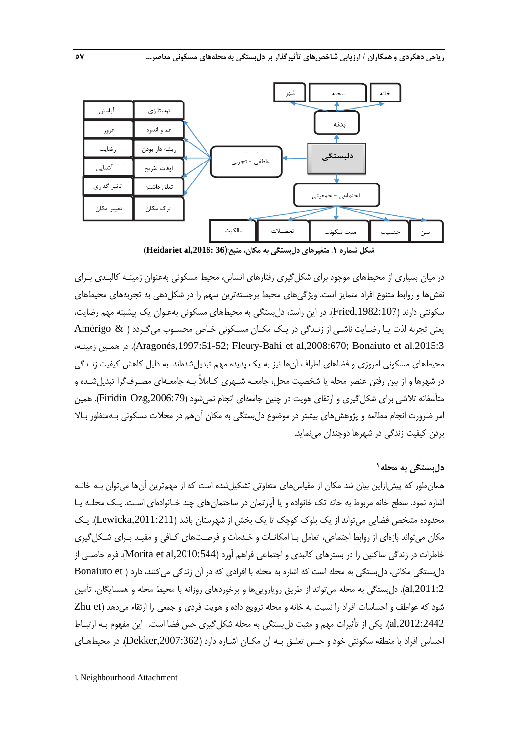

**شکل شماره .1 متغیرهای دلبستگی به مکان، منبع:)36 ,2016:al Heidariet(**

در میان بسیاری از محیطهای موجود برای شکلگیری رفتارهای انسانی، محیط مسکونی بهعنوان زمینـه کالبـدی بـرای نقش ها و روابط متنوع افراد متمایز است. ویژگی های محیط برجستهترین سهم را در شکلدهی به تجربههای محیطهای سکونتی دارند (Fried,1982:107). در این راستا، دلبستگی به محیطهای مسکونی بهعنوان یک پیشینه مهم رضایت، یعنی تجربه لذت یـا رضـایت ناشـی از زنـدگی در یـک مکـان مسـکونی خـاص محسـوب میگـردد ) & Amérigo ،زمینـه همـین در .(Aragonés,1997:51-52; Fleury-Bahi et al,2008:670; Bonaiuto et al,2015:3 محیطهای مسکونی امروزی و فضاهای اطراف آنها نیز به یک پدیده مهم تبدیلشدهاند. به دلیل کاهش کیفیت زنـدگی در شهرها و از بین رفتن عنصر محله یا شخصیت محل، جامعـه شـهری کـامالً بـه جامعـهای مصـرفگرا تبدیلشـده و متأسفانه تلاشی برای شکل گیری و ارتقای هویت در چنین جامعهای انجام نمیشود (Firidin Ozg,2006:79). همین امر ضرورت انجام مطالعه و پژوهشهای بیشتر در موضوع دلبستگی به مکان آنهم در محالت مسکونی بـهمنظور بـاال بردن کیفیت زندگی در شهرها دوچندان مینماید.

## **1 دلبستگی به محله**

همانطور که پیشازاین بیان شد مکان از مقیاسهای متفاوتی تشکیلشده است که از مهمترین آنها میتوان بـه خانـه اشاره نمود. سطح خانه مربوط به خانه تک خانواده و یا آپارتمان در ساختمانهای چند خـانوادهای اسـت. یـک محلـه یـا محدوده مشخص فضایی میتواند از یک بلوک کوچک تا یک بخش از شهرستان باشد (Lewicka,2011:211). یـک مکان میتواند بازهای از روابط اجتماعی، تعامل بـا امکانـات و خـدمات و فرصـتهای کـافی و مفیـد بـرای شـکل گیری خاطرات در زندگی ساکنین را در بسترهای کالبدی و اجتماعی فراهم آورد (Morita et al,2010:544). فرم خاصـی از دلبستگی مکانی، دلبستگی به محله است که اشاره به محله با افرادی که در آن زندگی میکنند، دارد ( Bonaiuto et ,2011:2al). دلبستگی به محله میتواند از طریق رویاروییها و برخوردهای روزانه با محی محله و همسایگان، تأمین شود که عواطف و احساسات افراد را نسبت به خانه و محله ترویج داده و هویت فردی و جمعی را ارتقاء میدهد (Zhu et al,2012:2442). یکی از تأثیرات مهم و مثبت دلبستگی به محله شکلگیری حس فضا است. این مفهوم بـه ارتبـاط احساس افراد با منطقه سکونتی خود و حـس تعلـق بـه آن مکـان اشـاره دارد (Dekker,2007:362). در محیطهـای

<sup>-</sup>1. Neighbourhood Attachment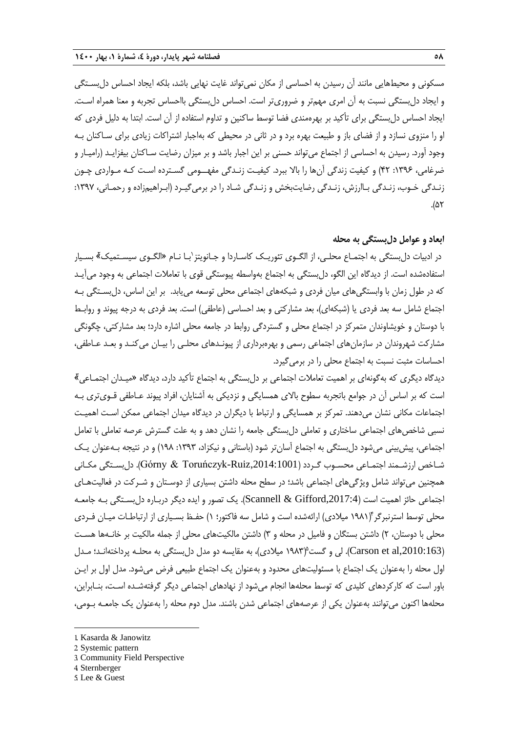مسکونی و محیطهایی مانند آن رسیدن به احساسی از مکان نمیتواند غایت نهایی باشد، بلکه ایجاد احساس دل بسـتگی و ایجاد دلبستگی نسبت به آن امری مهمتر و ضروریتر است. احساس دلبستگی بااحساس تجربه و معنا همراه اسـت. ایجاد احساس دل بستگی برای تأکید بر بهرهمندی فضا توسط ساکنین و تداوم استفاده از آن است. ابتدا به دلیل فردی که او را منزوی نسازد و از فضای باز و طبیعت بهره برد و در ثانی در محیطی که بهاجبار اشتراکات زیادی برای سـاکنان بـه وجود آورد. رسیدن به احساسی از اجتماع میتواند حسنی بر این اجبار باشد و بر میزان رضایت سـاکنان بیفزایـد )رامیـار و ضرغامی، ۱۳۹۶: ۴۲) و کیفیت زندگی آنها را بالا ببرد. کیفیـت زنـدگی مفهــومی گسـترده اسـت کـه مـواردی چـون زنـدگی خـوب، زنـدگی بـاارزش، زنـدگی رضایتبخش و زنـدگی شـاد را در برمیگیـرد )ابـراهیمزاده و رحمـانی، :1397 .(۵۲

#### **ابعاد و عوامل دلبستگی به محله**

در ادبیات دلبستگی به اجتمــاع محلــی، از الگــوی تئوریــک کاســاردا و جــانویتز ٰبــا نــام «الگــوی سیســتمیک» بســیار استفادهشده است. از دیدگاه این الگو، دلبستگی به اجتماع بهواسطه پیوستگی قوی با تعامالت اجتماعی به وجود میآیـد که در طول زمان با وابستگیهای میان فردی و شبکههای اجتماعی محلی توسعه مییابد. بر این اساس، دلبسـتگی بـه اجتماع شامل سه بعد فردی یا (شبکهای)، بعد مشارکتی و بعد احساسی (عاطفی) است. بعد فردی به درجه پیوند و روابـط با دوستان و خویشاوندان متمرکز در اجتماع محلی و گستردگی رواب در جامعه محلی اشاره دارد؛ بعد مشارکتی، چگونگی مشارکت شهروندان در سازمانهای اجتماعی رسمی و بهرهبرداری از پیونـدهای محلـی را بیـان میکنـد و بعـد عـاطفی، احساسات مثبت نسبت به اجتماع محلی را در برمیگیرد.

دیدگاه دیگری که بهگونهای بر اهمیت تعاملات اجتماعی بر دلبستگی به اجتماع تأکید دارد، دیدگاه «میـدان اجتمـاعی» است که بر اساس آن در جوامع باتجربه سطوح باالی همسایگی و نزدیکی به آشنایان، افراد پیوند عـاطفی قـویتری بـه اجتماعات مکانی نشان میدهند. تمرکز بر همسایگی و ارتبا با دیگران در دیدگاه میدان اجتماعی ممکن اسـت اهمیـت نسبی شاخصهای اجتماعی ساختاری و تعاملی دلبستگی جامعه را نشان دهد و به علت گسترش عرصه تعاملی با تعامل اجتماعی، پیش بینی میشود دل بستگی به اجتماع آسانتر شود (باستانی و نیکزاد، ۱۳۹۳: ۱۹۸) و در نتیجه بـهعنوان یـک شـاخص ارزشـمند اجتمـاعی محسـوب گـردد ),2014:1001Ruiz-Toruńczyk & Górny). دلبسـتگی مکـانی همچنین میتواند شامل ویژگیهای اجتماعی باشد؛ در سطح محله داشتن بسیاری از دوسـتان و شـرکت در فعالیتهـای اجتماعی حائز اهمیت است (Scannell & Gifford,2017:4). یک تصور و ایده دیگر دربـاره دل بسـتگی بـه جامعـه محلی توسط استرنبرگر (۱۹۸۱ میلادی) ارائهشده است و شامل سه فاکتور؛ ۱) حفـظ بسـیاری از ارتباطـات میـان فـردی محلی با دوستان، 2( داشتن بستگان و فامیل در محله و 3( داشتن مالکیتهای محلی از جمله مالکیت بر خانـهها هسـت (Carson et al,2010:163). لی و گست°(۱۹۸۳ میلادی)، به مقایسه دو مدل دلبستگی به محلـه پرداختهانـد؛ مـدل اول محله را بهعنوان یک اجتماع با مسئولیتهای محدود و بهعنوان یک اجتماع طبیعی فر میشود. مدل اول بر ایـن باور است که کارکردهای کلیدی که توسط محلهها انجام می شود از نهادهای اجتماعی دیگر گرفتهشـده اسـت، بنـابراین، محلهها اکنون میتوانند بهعنوان یکی از عرصههای اجتماعی شدن باشند. مدل دوم محله را بهعنوان یک جامعـه بـومی،

**.** 

5. Lee & Guest

<sup>1</sup>. Kasarda & Janowitz

<sup>2</sup>. Systemic pattern

<sup>3</sup>. Community Field Perspective

<sup>4</sup>. Sternberger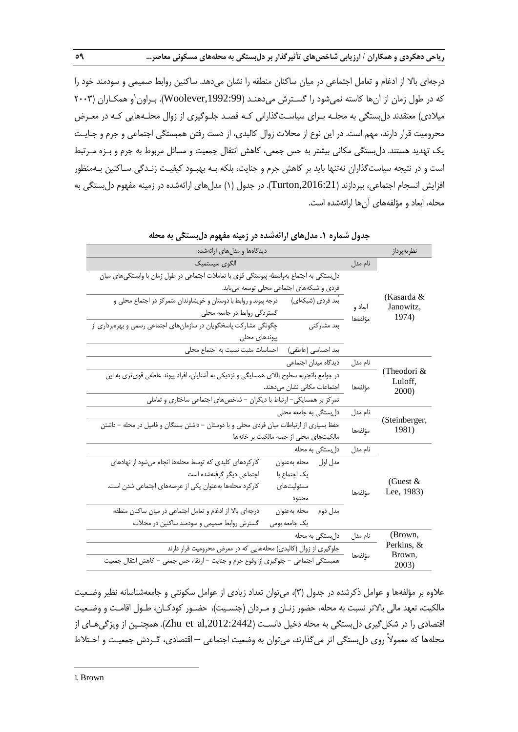درجهای بالا از ادغام و تعامل اجتماعی در میان ساکنان منطقه را نشان می دهد. ساکنین روابط صمیمی و سودمند خود را که در طول زمان از آنها کاسته نمیشود را گسـترش میدهنـد (Woolever,1992:99). بـراون`و همکـاران (۲۰۰۳ میلادی) معتقدند دلبستگی به محلـه بـرای سیاسـتگذارانی کـه قصـد جلـوگیری از زوال محلـههایی کـه در معـرض محرومیت قرار دارند، مهم است. در این نوع از محالت زوال کالبدی، از دست رفتن همبستگی اجتماعی و جرم و جنایـت یک تهدید هستند. دلبستگی مکانی بیشتر به حس جمعی، کاهش انتقال جمعیت و مسائل مربو به جرم و بـزه مـرتب است و در نتیجه سیاستگذاران نهتنها باید بر کاهش جرم و جنایت، بلکه بـه بهبـود کیفیـت زنـدگی سـاکنین بـهمنظور افزایش انسجام اجتماعی، بپردازند ),2016:21Turton). در جدول )1( مدلهای ارائهشده در زمینه مفهوم دلبستگی به محله، ابعاد و مؤلفههای آنها ارائهشده است.

| دیدگاهها و مدلهای ارائهشده                                                               |                    | نظريهپرداز                       |
|------------------------------------------------------------------------------------------|--------------------|----------------------------------|
| الگوی سیستمیک                                                                            | نام مدل            |                                  |
| دلبستگی به اجتماع بهواسطه پیوستگی قوی با تعاملات اجتماعی در طول زمان با وابستگیهای میان  |                    | (Kasarda &<br>Janowitz,<br>1974) |
| فردي و شبكههاي اجتماعي محلي توسعه مي يابد.                                               |                    |                                  |
| درجه پیوند و روابط با دوستان و خویشاوندان متمرکز در اجتماع محلی و<br>بعد فردي (شبكهاي)   | ابعاد و<br>مؤلفهها |                                  |
| گستردگی روابط در جامعه محلی                                                              |                    |                                  |
| بعد مشاركتي<br>چگونگی مشارکت پاسخگویان در سازمانهای اجتماعی رسمی و بهرهبرداری از         |                    |                                  |
| پیوندهای محلی                                                                            |                    |                                  |
| بعد احساسی (عاطفی) داحساسات مثبت نسبت به اجتماع محلی                                     |                    |                                  |
| دیدگاه میدان اجتماعی                                                                     | نام مدل            |                                  |
| در جوامع باتجربه سطوح بالای همسایگی و نزدیکی به آشنایان، افراد پیوند عاطفی قویتری به این |                    | (Theodori &<br>Luloff,           |
| اجتماعات مكانى نشان مىدهند.                                                              | مؤلفهها<br>2000)   |                                  |
| تمرکز بر همسایگی- ارتباط با دیگران – شاخصهای اجتماعی ساختاری و تعاملی                    |                    |                                  |
| دلبستگی به جامعه محلی                                                                    | نام مدل            |                                  |
| حفظ بسیاری از ارتباطات میان فردی محلی و با دوستان – داشتن بستگان و فامیل در محله – داشتن | مؤلفهها            | (Steinberger,<br>1981)           |
| مالکیتهای محلی از جمله مالکیت بر خانهها                                                  |                    |                                  |
| دلبستگی به محله                                                                          | نام مدل            |                                  |
| محله بهعنوان<br>کارکردهای کلیدی که توسط محلهها انجام میشود از نهادهای<br>مدل اول         |                    |                                  |
| یک اجتماع با<br>اجتماعی دیگر گرفتهشده است                                                |                    | (Guest &                         |
| کار کرد محلهها بهعنوان یکی از عرصههای اجتماعی شدن است.<br>مسئوليتهاى                     | مؤلفهها            | Lee, 1983)                       |
| محدود                                                                                    |                    |                                  |
| محله بهعنوان<br>درجهای بالا از ادغام و تعامل اجتماعی در میان ساکنان منطقه<br>مدل دوم     |                    |                                  |
| یک جامعه بومی<br>گسترش روابط صمیمی و سودمند ساکنین در محلات                              |                    |                                  |
| دلبستگ <i>ی</i> به محله                                                                  | نام مدل            | (Brown,                          |
| جلوگیری از زوال (کالبدی) محلههایی که در معرض محرومیت قرار دارند                          |                    | Perkins, &<br>Brown,             |
| همبستگی اجتماعی – جلوگیری از وقوع جرم و جنایت – ارتقاء حس جمعی – کاهش انتقال جمعیت       | مؤلفهها            | 2003)                            |

**جدول شماره .1 مدلهای ارائهشده در زمینه مفهوم دلبستگی به محله**

عالوه بر مؤلفهها و عوامل ذکرشده در جدول )3(، میتوان تعداد زیادی از عوامل سکونتی و جامعهشناسانه نظیر وضـعیت مالکیت، تعهد مالی بالاتر نسبت به محله، حضور زنـان و مـردان (جنسـیت)، حضـور کودکـان، طـول اقامـت و وضـعیت اقتصادی را در شکل گیری دل بستگی به محله دخیل دانسـت (Zhu et al,2012:2442). همچنـین از ویژگی هـای از محلهها که معموالً روی دلبستگی اثر میگذارند، میتوان به وضعیت اجتماعی – اقتصادی، گـردش جمعیـت و اخـتال

-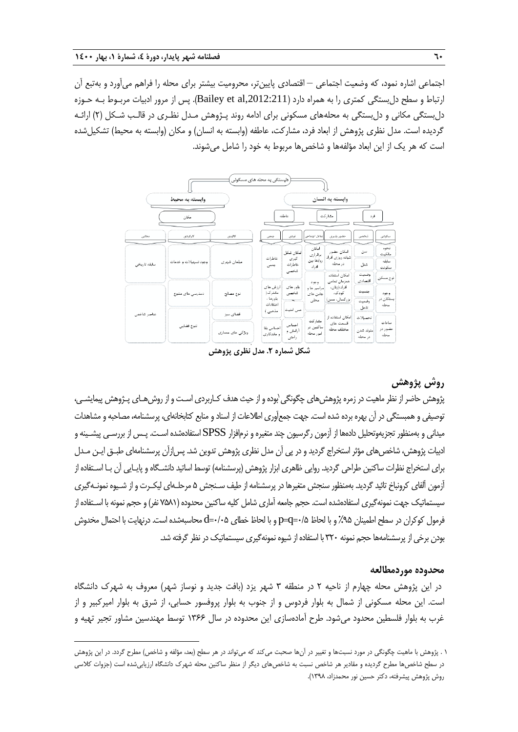1

اجتماعی اشاره نمود، که وضعیت اجتماعی – اقتصادی پایینتر، محرومیت بیشتر برای محله را فراهم میآورد و بهتبع آن ارتباط و سطح دلبستگی کمتری را به همراه دارد (Bailey et al,2012:211). پس از مرور ادبیات مربـوط بـه حـوزه دلبستگی مکانی و دلبستگی به محلههای مسکونی برای ادامه روند پـژوهش مـدل نظـری در قالـب شـکل )2( ارائـه گردیده است. مدل نظری پژوهش از ابعاد فرد، مشارکت، عاطفه (وابسته به انسان) و مکان (وابسته به محیط) تشکیل شده است که هر یک از این ابعاد مؤلفهها و شاخصها مربو به خود را شامل میشوند.



**شکل شماره .2 مدل نظری پژوهش**

**روش پژوهش**

پژوهش حاضر از نظر ماهیت در زمره پژوهش،های چگونگی ٰبوده و از حیث هدف کـاربردی اسـت و از روش،هـای پـژوهش پیمایشـی، توصیفی و همبستگی در آن بهره برده شده است. جهت جمعآوری اطالعات از اسناد و منابع کتابخانهای، پرسشنامه، مصاحبه و مشاهدات میدانی و بهمنظور تجزیهوتحلیل دادهها از آزمون رگرسیون چندمتغیره و نرمافزار SPSS استفادهشده اسـت. پـس از بررسـی پیشـینهو ادبیات پژوهش، شاخصهای مؤثر استخراج گردیدو در پی آن مدل نظری پژوهش تدوین شد. پسازآن پرسشنامهای طبـق ایـن مـدل برای استخراج نظرات ساکنین طراحی گردید. روایی ظاهری ابزار پژوهش (پرسشنامه) توسط اساتید دانشـگاه و پایـایی آن بـا اسـتفاده از آزمون آلفای کرونباخ تائید گردید. بهمنظور سنجش متغیرها در پرسشنامه از طیف سـنجش ۵ مرحلـهای لیکـرت و از شـیوه نمونـهگیری سیستماتیک جهت نمونهگیری استفادهشده است. حجم جامعه آماری شامل کلیه ساکنین محدوده (۷۵۸۱ نفر) و حجم نمونه با اسـتفاده از فرمول کوکران در سطح اطمینان %9٪ و با لحاظ 0/+=q= و با لحاظ خطای ۵+/+d محاسبهشده است. درنهایت با احتمال مخدوش بودن برخی از پرسشنامهها حجم نمونه 320 با استفاده از شیوه نمونهگیریسیستماتیک در نظر گرفته شد.

#### **محدوده موردمطالعه**

در این پژوهش محله چهارم از ناحیه 2 در منطقه 3 شهر یزد )بافت جدید و نوساز شهر( معروف به شهرك دانشگاه است. این محله مسکونی از شمال به بلوار فردوس و از جنوب به بلوار پروفسور حسابی، از شرق به بلوار امیرکبیر و از غرب به بلوار فلسطین محدود میشود. طرح آمادهسازی این محدوده در سال ۱۳۶۶ توسط مهندسین مشاور تجیر تهیه و

<sup>1</sup> . پژوهش با ماهیت چگونگی در مورد نسبتها و تغییر در آنها صحبت میکند که میتواند در هر سطح )بعد، مؤلفه و شاخص( مطرح گردد. در این پژوهش در سطح شاخصها مطرح گردیده و مقادیر هر شاخص نسبت به شاخصهای دیگر از منظر ساکنین محله شهرك دانشگاه ارزیابیشده است )جزوات کالسی روش پژوهش پیشرفته، دکتر حسین نور محمدزاد، 1398(.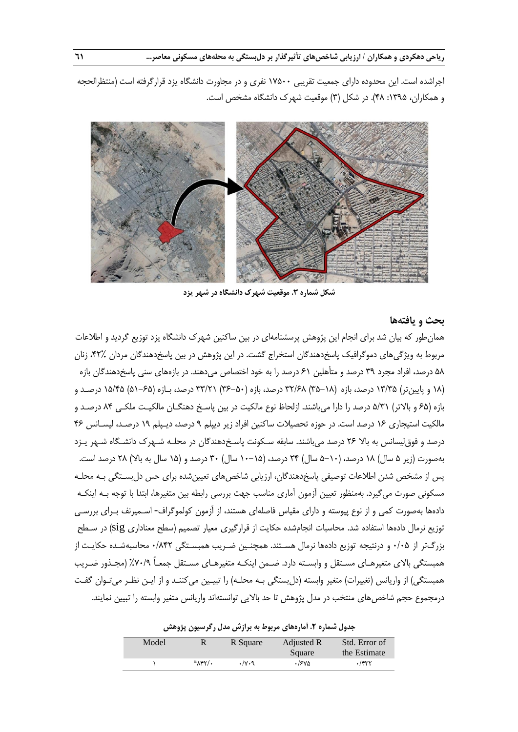اجراشده است. این محدوده دارای جمعیت تقریبی 17500 نفری و در مجاورت دانشگاه یزد قرارگرفته است )منتظرالحجه و همکاران، ۱۳۹۵: ۴۸). در شکل (۳) موقعیت شهرک دانشگاه مشخص است.



**شکل شماره .3 موقعیت شهرک دانشگاه در شهر یزد**

#### **بحث و یافتهها**

همانطور که بیان شد برای انجام این پژوهش پرسشنامهای در بین ساکنین شهرك دانشگاه یزد توزیع گردید و اطالعات مربوط به ویژگیهای دموگرافیک پاسخدهندگان استخراج گشت. در این پژوهش در بین پاسخدهندگان مردان ،۴۲٪، زنان 58 درصد، افراد مجرد 39 درصد و متأهلین 61 درصد را به خود اختصاص میدهند. در بازههای سنی پاسخدهندگان بازه )18 و پایینتر( 13/35 درصد، بازه )35-18( 32/68 درصد، بازه )36-50( 33/21 درصد، بـازه )51-65( 15/45 درصـد و بازه )65 و باالتر( 5/31 درصد را دارا میباشند. ازلحاظ نوع مالکیت در بین پاسـخ دهنگـان مالکیـت ملکـی 84 درصـد و مالکیت استیجاری 16 درصد است. در حوزه تحصیالت ساکنین افراد زیر دیپلم 9 درصد، دیـپلم 19 درصـد، لیسـانس 46 درصد و فوقلیسانس به باال 26 درصد میباشند. سابقه سـکونت پاسـخدهندگان در محلـه شـهرك دانشـگاه شـهر یـزد بهصورت )زیر 5 سال( 18 درصد، )5-10 سال( 24 درصد، )10-15 سال( 30 درصد و )15 سال به باال( 28 درصد است. پس از مشخص شدن اطالعات توصیفی پاسخدهندگان، ارزیابی شاخصهای تعیینشده برای حس دلبسـتگی بـه محلـه مسکونی صورت میگیرد. بهمنظور تعیین آزمون آماری مناسب جهت بررسی رابطه بین متغیرها، ابتدا با توجه بـه اینکـه دادهها بهصورت کمی و از نوع پیوسته و دارای مقیاس فاصلهای هستند، از آزمون کولموگراف- اسـمیرنف بـرای بررسـی توزیع نرمال دادهها استفاده شد. محاسبات انجامشده حکایت از قرارگیری معیار تصمیم )سطح معناداری sig )در سـطح بزرگتر از 0/05 و درنتیجه توزیع دادهها نرمال هسـتند. همچنـین ضـریب همبسـتگی 0/842 محاسبهشـده حکایـت از همبستگی باالی متغیرهـای مسـتقل و وابسـته دارد. ضـمن اینکـه متغیرهـای مسـتقل جمعـاً %70/9 )مجـذور ضـریب همبستگی) از واریانس (تغییرات) متغیر وابسته (دلبستگی بـه محلـه) را تبیـین میکننـد و از ایـن نظـر میتـوان گفـت درمجموع حجم شاخصهای منتخب در مدل پژوهش تا حد باالیی توانستهاند واریانس متغیر وابسته را تبیین نمایند.

| Model | R             | R Square | Adjusted R | Std. Error of |
|-------|---------------|----------|------------|---------------|
|       |               |          | Square     | the Estimate  |
|       | $\lambda$ ۲/۰ | ۷۰۹.     | ۱۶۷۵.      | $\gamma$ ۳۳   |

**جدول شماره .2 آمارههای مربوط به برازش مدل رگرسیون پژوهش**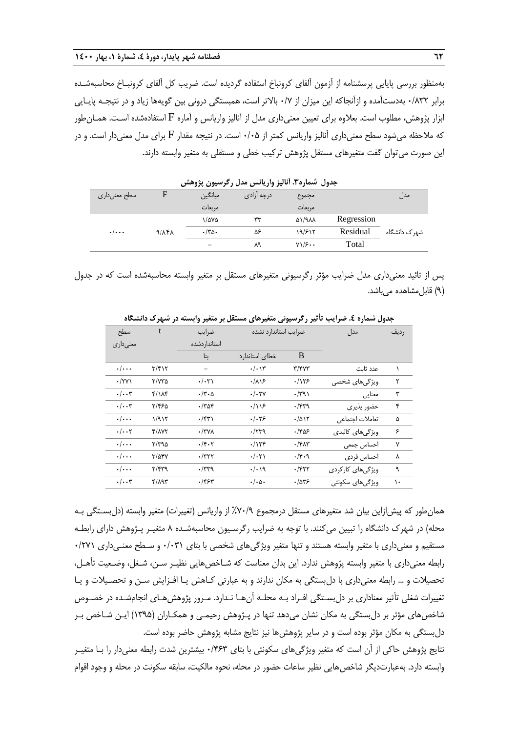بهمنظور بررسی پایایی پرسشنامه از آزمون آلفای کرونباخ استفاده گردیده است. ضریب کل آلفای کرونبـاخ محاسبهشـده برابر 0/832 بهدستآمده و ازآنجاکه این میزان از 0/7 باالتر است، همبستگی درونی بین گویهها زیاد و در نتیجـه پایـایی ابزار پژوهش، مطلوب است. بعالوه برای تعیین معنیداری مدل از آنالیز واریانس و آماره F استفادهشده اسـت. همـانطور که مالحظه میشود سطح معنیداری آنالیز واریانس کمتر از 0/05 است. در نتیجه مقدار F برای مدل معنیدار است. و در این صورت میتوان گفت متغیرهای مستقل پژوهش ترکیب خطی و مستقلی به متغیر وابسته دارند.

| بصوف فسنتص فالمستعر وارتباعتن للمعاق والراسيون بارواعتن |       |                          |            |                                    |            |              |
|---------------------------------------------------------|-------|--------------------------|------------|------------------------------------|------------|--------------|
| سطح معنیداری                                            | F     | ميانگين                  | درجه آزادى | مجموع                              |            | مدل          |
|                                                         |       | مرىعات                   |            | مربعات                             |            |              |
|                                                         |       | 1/ava                    | ٣٣         | $\Delta$ 1/911                     | Regression |              |
| $\cdot/\cdot\cdot$                                      | 9/141 | .70.                     | ۵۶         | 19/۶۱۲                             | Residual   | شهرک دانشگاه |
|                                                         |       | $\overline{\phantom{a}}$ | ٨٩         | $Y\setminus/\mathcal{F}\cdot\cdot$ | Total      |              |
|                                                         |       |                          |            |                                    |            |              |

**جدول شماره.3 آنالیز واریانس مدل رگرسیون پژوهش**

پس از تائید معنیداری مدل ضرایب مؤثر رگرسیونی متغیرهای مستقل بر متغیر وابسته محاسبهشده است که در جدول )9( قابلمشاهده میباشد.

| سطح                     | t                       | ضرايب                | ضرايب استاندارد نشده       |                         | مدل              | رديف |
|-------------------------|-------------------------|----------------------|----------------------------|-------------------------|------------------|------|
| معنىدارى                |                         | استاندار دشده        |                            |                         |                  |      |
|                         |                         | بتا                  | خطاى استاندارد             | B                       |                  |      |
| $\cdot/\cdot\cdot\cdot$ | $\mathbf{r}/\mathbf{r}$ | $\qquad \qquad -$    | $\cdot/\cdot$ \r           | $\mathbf{r}/\mathbf{r}$ | عدد ثابت         | ١    |
| $\cdot$ /۲۷)            | ۲/۷۳۵                   | $\cdot/\cdot\tau$    | .719                       | .1155                   | ویژگیهای شخصی    | ٢    |
| $\cdot/\cdot\cdot$ ۳    | $f/\lambda f$           | $\cdot$ /٣ $\cdot$ ۵ | $\cdot$ / $\cdot$ ۲۷       | $\cdot$ /۳۹۱            | معنايي           | ٣    |
| $\cdot/\cdot\cdot$ ۳    | ۲/۴۶۵                   | $\cdot$ /۳۵۴         | .719                       | $\cdot$ /۴۳۹            | حضور پذیری       | ۴    |
| $\cdot/\cdot\cdot\cdot$ | ۱/۹۱۲                   | $\cdot$ /۴۳)         | .1.79                      | .7017                   | تعاملات اجتماعي  | ۵    |
| $\cdot/\cdot\cdot$ ۲    | <b>FIAVT</b>            | $\cdot$ /۳۷۸         | .779                       | ۲۵۶.                    | ویژگیهای کالبدی  | ۶    |
| $\cdot/\cdot\cdot\cdot$ | ۲/۳۹۵                   | $\cdot$ /۴۰۲         | .715                       | $\cdot$ /۴۸۳            | احساس جمعى       | ٧    |
| $\cdot/\cdot\cdot\cdot$ | $\frac{8}{2}$           | $\cdot$ /٣٢٢         | $\cdot/\cdot\tau$          | .44                     | احساس فردى       | ٨    |
| $\cdot/\cdot\cdot$      | ۳/۴۳۹                   | $\cdot$ /٣٣٩         | $\cdot/\cdot$ 19           | $\cdot$ /۴۲۲            | ویژگیهای کارکردی | ٩    |
| $\cdot/\cdot\cdot$ ۳    | ۴/۸۹۳                   | $.$ /۴۶۳             | $\cdot/\cdot \Delta \cdot$ | .7849                   | ویژگیهای سکونتی  | ١.   |
|                         |                         |                      |                            |                         |                  |      |

**جدول شماره .4 ضرایب تأثیر رگرسیونی متغیرهای مستقل بر متغیر وابسته در شهرک دانشگاه**

همان طور که پیش ازاین بیان شد متغیرهای مستقل درمجموع ٧٠/٩٪ از واریانس (تغییرات) متغیر وابسته (دل بسـتگی بـه محله) در شهرک دانشگاه را تبیین میکنند. با توجه به ضرایب رگرسـیون محاسبهشـده ۸ متغیـر پـژوهش دارای رابطـه مستقیم و معنیداری با متغیر وابسته هستند و تنها متغیر ویژگیهای شخصی با بتای 0/031 و سـطح معنـیداری 0/271 رابطه معنیداری با متغیر وابسته پژوهش ندارد. این بدان معناست که شـاخصهایی نظیـر سـن، شـغل، وضـعیت تأهـل، تحصیالت و ... رابطه معنیداری با دلبستگی به مکان ندارند و به عبارتی کـاهش یـا افـزایش سـن و تحصـیالت و یـا تغییرات شغلی تأثیر معناداری بر دلبسـتگی افـراد بـه محلـه آنهـا نـدارد. مـرور پژوهشهـای انجامشـده در خصـوص شاخصهای مؤثر بر دلبستگی به مکان نشان میدهد تنها در پـژوهش رحیمـی و همکـاران )1395( ایـن شـاخص بـر دلبستگی به مکان مؤثر بوده است و در سایر پژوهشها نیز نتایج مشابه پژوهش حاضر بوده است.

نتایج پژوهش حاکی از آن است که متغیر ویژگیهای سکونتی با بتای 0/463 بیشترین شدت رابطه معنیدار را بـا متغیـر وابسته دارد. بهعبارتدیگر شاخصهایی نظیر ساعات حضور در محله، نحوه مالکیت، سابقه سکونت در محله و وجود اقوام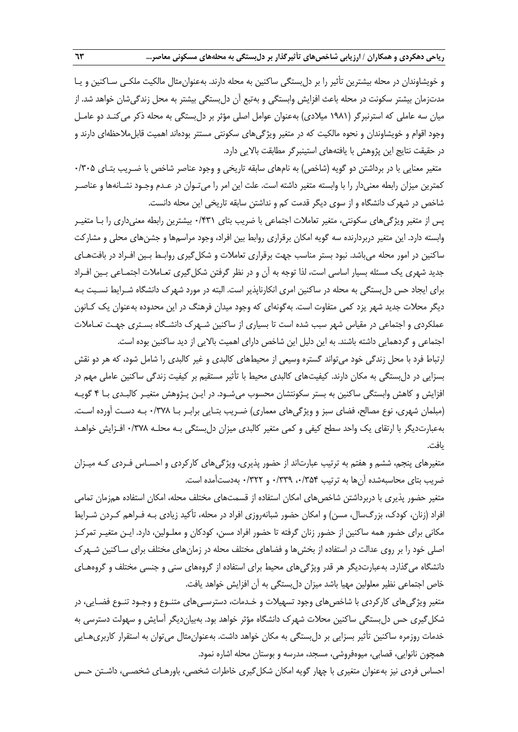و خویشاوندان در محله بیشترین تأثیر را بر دلبستگی ساکنین به محله دارند. بهعنوانمثال مالکیت ملکـی سـاکنین و یـا مدتزمان بیشتر سکونت در محله باعث افزایش وابستگی و بهتبع آن دلبستگی بیشتر به محل زندگیشان خواهد شد. از میان سه عاملی که استرنبرگر (۱۹۸۱ میلادی) بهعنوان عوامل اصلی مؤثر بر دلبستگی به محله ذکر میکنـد دو عامـل وجود اقوام و خویشاوندان و نحوه مالکیت که در متغیر ویژگیهای سکونتی مستتر بودهاند اهمیت قابلمالحظهای دارند و در حقیقت نتایج این پژوهش با یافتههای استینبرگر مطابقت باالیی دارد.

متغیر معنایی با در برداشتن دو گویه (شاخص) به نامهای سابقه تاریخی و وجود عناصر شاخص با ضـریب بتـای ۰/۳۰۵ کمترین میزان رابطه معنیدار را با وابسته متغیر داشته است. علت این امر را میتـوان در عـدم وجـود نشـانهها و عناصـر شاخص در شهرك دانشگاه و از سوی دیگر قدمت کم و نداشتن سابقه تاریخی این محله دانست.

پس از متغیر ویژگیهای سکونتی، متغیر تعامالت اجتماعی با ضریب بتای 0/431 بیشترین رابطه معنیداری را بـا متغیـر وابسته دارد. این متغیر دربردارنده سه گویه امکان برقراری رواب بین افراد، وجود مراسمها و جشنهای محلی و مشارکت ساکنین در امور محله می باشد. نبود بستر مناسب جهت برقراری تعاملات و شکل گیری روابـط بـین افـراد در بافتهـای جدید شهری یک مسئله بسیار اساسی است، لذا توجه به آن و در نظر گرفتن شکلگیری تعـامالت اجتمـاعی بـین افـراد برای ایجاد حس دلبستگی به محله در ساکنین امری انکارناپذیر است. البته در مورد شهرك دانشگاه شـرای نسـبت بـه دیگر محالت جدید شهر یزد کمی متفاوت است. بهگونهای که وجود میدان فرهنگ در این محدوده بهعنوان یک کـانون عملکردی و اجتماعی در مقیاس شهر سبب شده است تا بسیاری از ساکنین شـهرك دانشـگاه بسـتری جهـت تعـامالت اجتماعی و گردهمایی داشته باشند. به این دلیل این شاخص دارای اهمیت باالیی از دید ساکنین بوده است.

ارتباط فرد با محل زندگی خود میتواند گستره وسیعی از محیطهای کالبدی و غیر کالبدی را شامل شود، که هر دو نقش بسزایی در دلبستگی به مکان دارند. کیفیتهای کالبدی محیط با تأثیر مستقیم بر کیفیت زندگی ساکنین عاملی مهم در افزایش و کاهش وابستگی ساکنین به بستر سکونتشان محسوب میشـود. در ایـن پـژوهش متغیـر کالبـدی بـا 4 گویـه )مبلمان شهری، نوع مصالح، فضای سبز و ویژگیهای معماری( ضـریب بتـایی برابـر بـا 0/378 بـه دسـت آورده اسـت. بهعبارتدیگر با ارتقای یک واحد سطح کیفی و کمی متغیر کالبدی میزان دلبستگی بـه محلـه 0/378 افـزایش خواهـد یافت.

متغیرهای پنجم، ششم و هفتم به ترتیب عبارتاند از حضور پذیری، ویژگیهای کارکردی و احسـاس فـردی کـه میـزان ضریب بتای محاسبهشده آنها به ترتیب ۰/۳۳۹ ۰/۳۳۹ و ۰/۳۲۲ بهدستآمده است.

متغیر حضور پذیری با دربرداشتن شاخصهای امکان استفاده از قسمتهای مختلف محله، امکان استفاده همزمان تمامی افراد (زنان، کودک، بزرگ<code>سال، مسن) و امکان حضور شبانهروزی افراد در محله، تأکید زیادی بـه فـراهم کـردن شـرایط</mark></code> مکانی برای حضور همه ساکنین از حضور زنان گرفته تا حضور افراد مسن، کودکان و معلـولین، دارد. ایـن متغیـر تمرکـز اصلی خود را بر روی عدالت در استفاده از بخشها و فضاهای مختلف محله در زمانهای مختلف برای سـاکنین شـهرك دانشگاه میگذارد. بهعبارتدیگر هر قدر ویژگیهای محیط برای استفاده از گروههای سنی و جنسی مختلف و گروههـای خاص اجتماعی نظیر معلولین مهیا باشد میزان دلبستگی به آن افزایش خواهد یافت.

متغیر ویژگیهای کارکردی با شاخصهای وجود تسهیالت و خـدمات، دسترسـیهای متنـوع و وجـود تنـوع فضـایی، در شکلگیری حس دلبستگی ساکنین محالت شهرك دانشگاه مؤثر خواهد بود. بهبیاندیگر آسایش و سهولت دسترسی به خدمات روزمره ساکنین تأثیر بسزایی بر دلبستگی به مکان خواهد داشت. بهعنوانمثال میتوان به استقرار کاربریهـایی همچون نانوایی، قصابی، میوهفروشی، مسجد، مدرسه و بوستان محله اشاره نمود.

احساس فردی نیز بهعنوان متغیری با چهار گویه امکان شکلگیری خاطرات شخصی، باورهـای شخصـی، داشـتن حـس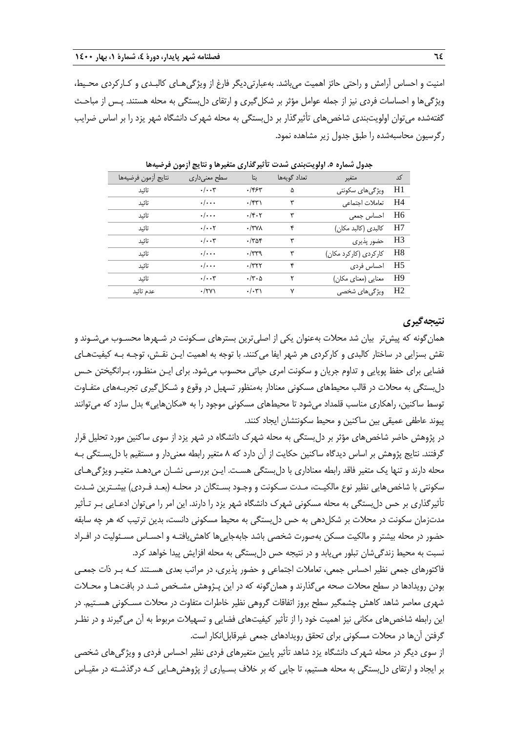امنیت و احساس آرامش و راحتی حائز اهمیت می باشد. بهعبارتی دیگر فارغ از ویژگی هـای کالبـدی و کـارکردی محـیط، ویژگیها و احساسات فردی نیز از جمله عوامل مؤثر بر شکلگیری و ارتقای دلبستگی به محله هستند. پـس از مباحـ گفتهشده میتوان اولویتبندی شاخصهای تأثیرگذار بر دلبستگی به محله شهرك دانشگاه شهر یزد را بر اساس ضرایب رگرسیون محاسبهشده را طبق جدول زیر مشاهده نمود.

| نتايج أزمون فرضيهها | سطح معنىدارى            | بتا                      | تعداد گويەھا | متغير                   | کد             |
|---------------------|-------------------------|--------------------------|--------------|-------------------------|----------------|
| تائيد               | $\cdot/\cdot\cdot$ ۳    | ۶۴۶۳.                    | ۵            | ویژگیهای سکونتی         | H1             |
| تائىد               | $\cdot/\cdot\cdot\cdot$ | $\cdot$ /۴۳)             | ٣            | تعاملات اجتماعي         | H4             |
| تائىد               | $\cdot/\cdot\cdot\cdot$ | .7.7                     | ٣            | احساس جمعى              | H <sub>6</sub> |
| تائىد               | $\cdot/\cdot\cdot$      | $\cdot$ /۳۷۸             | ۴            | كالبدى (كالبد مكان)     | H7             |
| تائىد               | $\cdot/\cdot\cdot$ ۳    | .788                     | ٣            | حضور پذیری              | H <sub>3</sub> |
| تائىد               | $\cdot/\cdot\cdot\cdot$ | $\cdot$ /۳۳۹             | ٣            | کار کردی (کار کرد مکان) | H <sub>8</sub> |
| تائىد               | $\cdot/\cdot\cdot\cdot$ | $\cdot$ /۳۲۲             | ۴            | احساس فردى              | H <sub>5</sub> |
| تائىد               | $\cdot/\cdot\cdot$ ۳    | $\cdot$ /٣ $\cdot$ ۵     | ۲            | معنایی (معنای مکان)     | H <sub>9</sub> |
| عدم تائيد           | $\cdot$ /۲۷)            | $\cdot/\cdot \mathsf{r}$ | ٧            | ویژگیهای شخصی           | H <sub>2</sub> |

**جدول شماره .5 اولویتبندی شدت تأثیرگذاری متغیرها و نتایج آزمون فرضیهها**

## **نتیجهگیری**

همانگونه که پیشتر بیان شد محالت بهعنوان یکی از اصلیترین بسترهای سـکونت در شـهرها محسـوب میشـوند و نقش بسزایی در ساختار کالبدی و کارکردی هر شهر ایفا میکنند. با توجه به اهمیت ایـن نقـش، توجـه بـه کیفیتهـای فضایی برای حفظ پویایی و تداوم جریان و سکونت امری حیاتی محسوب میشود. برای ایـن منظـور، بـرانگیختن حـس دل بستگی به محلات در قالب محیطهای مسکونی معنادار بهمنظور تسهیل در وقوع و شـکل گیری تجربـههای متفـاوت توسط ساکنین، راهکاری مناسب قلمداد می شود تا محیطهای مسکونی موجود را به «مکانهایی» بدل سازد که می توانند پیوند عاطفی عمیقی بین ساکنین و محیط سکونتشان ایجاد کنند.

در پژوهش حاضر شاخصهای مؤثر بر دلبستگی به محله شهرك دانشگاه در شهر یزد از سوی ساکنین مورد تحلیل قرار گرفتند. نتایج پژوهش بر اساس دیدگاه ساکنین حکایت از آن دارد که 8 متغیر رابطه معنیدار و مستقیم با دلبسـتگی بـه محله دارند و تنها یک متغیر فاقد رابطه معناداری با دلبستگی هسـت. ایـن بررسـی نشـان میدهـد متغیـر ویژگیهـای سکونتی با شاخص هایی نظیر نوع مالکیـت، مـدت سـکونت و وجـود بسـتگان در محلـه (بعـد فـردی) بیشـترین شـدت تأثیرگذاری بر حس دلبستگی به محله مسکونی شهرك دانشگاه شهر یزد را دارند. این امر را میتوان ادعـایی بـر تـأثیر مدتزمان سکونت در محلات بر شکلدهی به حس دلبستگی به محیط مسکونی دانست، بدین ترتیب که هر چه سابقه حضور در محله بیشتر و مالکیت مسکن بهصورت شخصی باشد جابهجاییها کاهشیافتـه و احسـاس مسـئولیت در افـراد نسبت به محیط زندگیشان تبلور می یابد و در نتیجه حس دل بستگی به محله افزایش پیدا خواهد کرد.

فاکتورهای جمعی نظیر احساس جمعی، تعامالت اجتماعی و حضور پذیری، در مراتب بعدی هسـتند کـه بـر ذات جمعـی بودن رویدادها در سطح محالت صحه میگذارند و همانگونه که در این پـژوهش مشـخص شـد در بافتهـا و محـالت شهری معاصر شاهد کاهش چشمگیر سطح بروز اتفاقات گروهی نظیر خاطرات متفاوت در محالت مسـکونی هسـتیم. در این رابطه شاخصهای مکانی نیز اهمیت خود را از تأثیر کیفیتهای فضایی و تسهیالت مربو به آن میگیرند و در نظـر گرفتن آنها در محلات مسکونی برای تحقق رویدادهای جمعی غیرقابل انکار است.

از سوی دیگر در محله شهرك دانشگاه یزد شاهد تأثیر پایین متغیرهای فردی نظیر احساس فردی و ویژگیهای شخصی بر ایجاد و ارتقای دلبستگی به محله هستیم، تا جایی که بر خالف بسـیاری از پژوهشهـایی کـه درگذشـته در مقیـاس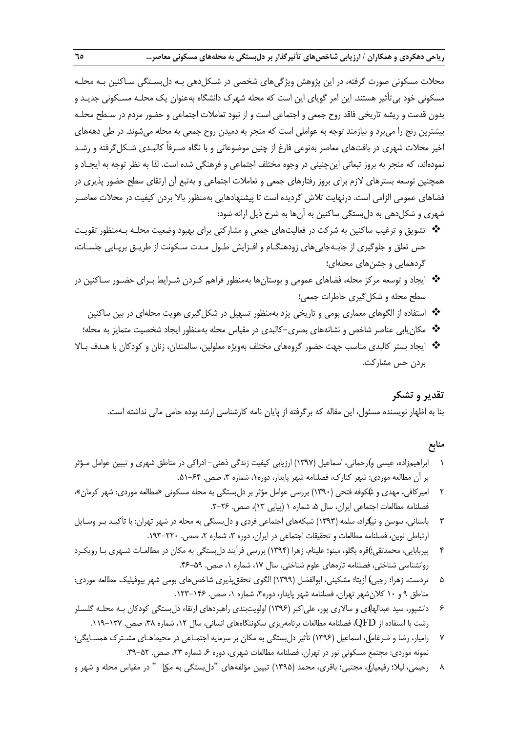محالت مسکونی صورت گرفته، در این پژوهش ویژگیهای شخصی در شـکلدهی بـه دلبسـتگی سـاکنین بـه محلـه مسکونی خود بیتأثیر هستند. این امر گویای این است که محله شهرك دانشگاه بهعنوان یک محلـه مسـکونی جدیـد و بدون قدمت و ریشه تاریخی فاقد روح جمعی و اجتماعی است و از نبود تعامالت اجتماعی و حضور مردم در سـطح محلـه بیشترین رنج را میبرد و نیازمند توجه به عواملی است که منجر به دمیدن روح جمعی به محله میشوند. در طی دهههای اخیر محالت شهری در بافتهای معاصر بهنوعی فارف از چنین موضوعاتی و با نگاه صـرفاً کالبـدی شـکلگرفته و رشـد نمودهاند، که منجر به بروز تبعاتی اینچنینی در وجوه مختلف اجتماعی و فرهنگی شده است. لذا به نظر توجه به ایجـاد و همچنین توسعه بسترهای الزم برای بروز رفتارهای جمعی و تعامالت اجتماعی و بهتبع آن ارتقای سطح حضور پذیری در فضاهای عمومی الزامی است. درنهایت تالش گردیده است تا پیشنهادهایی بهمنظور باال بردن کیفیت در محالت معاصـر شهری و شکل دهی به دل بستگی ساکنین به آنها به شرح ذیل ارائه شود:

- ◆ تشویق و ترغیب ساکنین به شرکت در فعالیتهای جمعی و مشارکتی برای بهبود وضعیت محلـه بـهمنظور تقویـت حس تعلق و جلوگیری از جابـهجاییهای زودهنگـام و افـزایش طـول مـدت سـکونت از طریـق برپـایی جلسـات، گردهمایی و جشنهای محلهای؛
- ایجاد و توسعه مرکز محله، فضاهای عمومی و بوستانها بهمنظور فراهم کـردن شـرای بـرای حضـور سـاکنین در سطح محله و شکلگیری خاطرات جمعی؛
	- استفاده از الگوهای معماری بومی و تاریخی یزد بهمنظور تسهیل در شکلگیری هویت محلهای در بین ساکنین
	- مکانیابی عناصر شاخص و نشانههای بصری-کالبدی در مقیاس محله بهمنظور ایجاد شخصیت متمایز به محله؛
- ایجاد بستر کالبدی مناسب جهت حضور گروههای مختلف بهویژه معلولین، سالمندان، زنان و کودکان با هـدف بـاال بردن حس مشارکت.

#### **تقدیر و تشکر**

بنا به اظهار نویسنده مسئول، این مقاله که برگرفته از پایان نامه کارشناسی ارشد بوده حامی مالی نداشته است.

#### **منابع**

- 1 ابراهیمزاده، عیسی و(رحمانی، اسماعیل )1397( ارزیابی کیفیت زندگی ذهنی- ادراکی در مناطق شهری و تبیین عوامل مـؤثر بر آن مطالعه موردی: شهر کنارک، فصلنامه شهر پایدار، دوره۱، شماره ۳، صص. ۶۴–۵۱.
- 2 امیرکافی، مهدی و (شکوفه فتحی )1390( بررسی عوامل مؤثر بر دلبستگی به محله مسکونی »مطالعه موردی: شهر کرمان«، فصلنامه مطالعات اجتماعی ایران، سال ۵، شماره ۱ (پیاپی ۱۳)، صص. ۲۶-۲.
- 3 باستانی، سوسن و نی(کزاد، سلمه )1393( شبکههای اجتماعی فردی و دلبستگی به محله در شهر تهران: با تأکیـد بـر وسـایل ارتباطی نوین، فصلنامه مطالعات و تحقیقات اجتماعی در ایران، دوره ۳، شماره ۲، صص. ۲۲۰-۱۹۳.
- 4 پیربابایی، محمدتق (ی؛ قره بگلو، مینو؛ علینام، زهرا )1394( بررسی فرآیند دلبستگی به مکان در مطالعـات شـهری بـا رویکـرد روانشناسی شناختی، فصلنامه تازههای علوم شناختی، سال ١٧، شماره ١، صص. ٥٩-۴۶.
- 5 تردست، زهرا؛ رجبی،( آزیتا؛ مشکینی، ابوالفضل )1399( الگوی تحققپذیری شاخصهای بومی شهر بیوفیلیک مطالعه موردی: مناطق ۹ و ۱۰ کلان شهر تهران، فصلنامه شهر پایدار، دوره۳، شماره ۱، صص. ۱۴۶–۱۲۳.
- ۶ دانشپور، سید عبدالها) ی و سالاری پور، علیاکبر (۱۳۹۶) اولویتبندی راهبردهای ارتقاء دلبستگی کودکان بـه محلـه گلسـلر رشت با استفاده از QFD، فصلنامه مطالعات برنامهریزی سکونتگاههای انسانی، سال ،12 شماره ،38 صص. .119-137
- 7 رامیار، رضا و ضررام(ی، اسماعیل )1396( تأثیر دلبستگی به مکان بر سرمایه اجتمـاعی در محی هـای مشـترك همسـایگی؛ نمونه موردی: مجتمع مسکونی نور در تهران، فصلنامه مطالعات شهری، دوره ۶، شماره ۲۳، صص. ۵۲-۳۹.
- 8 رحیمی، لیال؛ رفیعی ( ان، مجتبی؛ باقری، محمد )1395( تبیین مؤلفههای "دلبستگی به مکان " در مقیاس محله و شهر و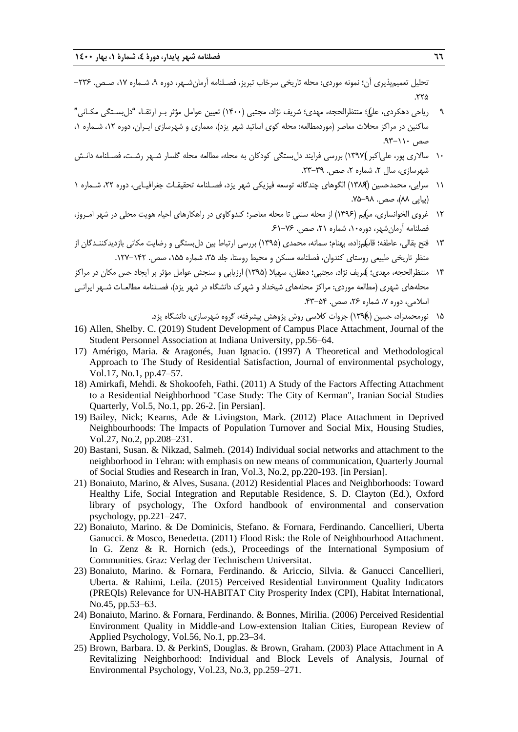تحلیل تعمیمپذیری آن؛ نمونه موردی: محله تاریخی سرخاب تبریز، فصـلنامه آرمانشـهر، دوره ۹، شـماره ۱۷، صـص. ۲۳۶-.77۵

- 9 ریاحی دهکردی، ( علی؛ منتظرالحجه، مهدی؛ شریف نژاد، مجتبی )1400( تعیین عوامل مؤثر بـر ارتقـاء "دلبسـتگی مکـانی" ساکنین در مراکز محلات معاصر (موردمطالعه: محله کوی اساتید شهر یزد)، معماری و شهرسازی ایـران، دوره ۱۲، شـماره ۰۱ صص  $(1 - 1)$ ۰.
- 10 ساالری پور، علیاکبر ()1397( بررسی فرایند دلبستگی کودکان به محله، مطالعه محله گلسار شـهر رشـت، فصـلنامه دانـش شهرسازی، سال ۲، شماره ۲، صص. ۳۹-۲۳.
- 11 سرایی، محمدحسین )(1386( الگوهای چندگانه توسعه فیزیکی شهر یزد، فصـلنامه تحقیقـات جغرافیـایی، دوره ،22 شـماره 1 (پیاپی ۸۸)، صص. ۹۸-۷۵.
- 12 ( رروی الخوانساری، مریم )1396( از محله سنتی تا محله معاصر؛ کندوکاوی در راهکارهای احیاء هویت محلی در شهر امـروز، فصلنامه آرمانشهر، دوره،10 شماره ،21 صص. .61-76
- 13 فتح بقالی، عاطفه؛ قاس(مزاده، بهنام؛ سمانه، محمدی )1395( بررسی ارتبا بین دلبستگی و رضایت مکانی بازدیدکننـدگان از منظر تاریخی طبیعی روستای کندوان، فصلنامه مسکن و محیط روستا، جلد ۳۵، شماره ۱۵۵، صص. ۱۴۲–۱۲۷.
- ۱۴ منتظرالحجه، مهدی؛ بُلریف نژاد، مجتبی؛ دهقان، سهیلا (۱۳۹۵) ارزیابی و سنجش عوامل مؤثر بر ایجاد حس مکان در مراکز محلههای شهری (مطالعه موردی: مراکز محلههای شیخداد و شهرک دانشگاه در شهر یزد)، فصـلنامه مطالعـات شـهر ایرانـی اسالمی، دوره ،7 شماره ،26 صص. .43-54

```
15 نورمحمدزاد، حسین )(1398( جزوات کالسی روش پژوهش پیشرفته، گروه شهرسازی، دانشگاه یزد.
```
- 16) Allen, Shelby. C. (2019) Student Development of Campus Place Attachment, Journal of the Student Personnel Association at Indiana University, pp.56–64.
- 17) Amérigo, Maria. & Aragonés, Juan Ignacio. (1997) A Theoretical and Methodological Approach to The Study of Residential Satisfaction, Journal of environmental psychology, Vol.17, No.1, pp.47–57.
- 18) Amirkafi, Mehdi. & Shokoofeh, Fathi. (2011) A Study of the Factors Affecting Attachment to a Residential Neighborhood "Case Study: The City of Kerman", Iranian Social Studies Quarterly, Vol.5, No.1, pp. 26-2. [in Persian].
- 19) Bailey, Nick; Kearns, Ade & Livingston, Mark. (2012) Place Attachment in Deprived Neighbourhoods: The Impacts of Population Turnover and Social Mix, Housing Studies, Vol.27, No.2, pp.208–231.
- 20) Bastani, Susan. & Nikzad, Salmeh. (2014) Individual social networks and attachment to the neighborhood in Tehran: with emphasis on new means of communication, Quarterly Journal of Social Studies and Research in Iran, Vol.3, No.2, pp.220-193. [in Persian].
- 21) Bonaiuto, Marino, & Alves, Susana. (2012) Residential Places and Neighborhoods: Toward Healthy Life, Social Integration and Reputable Residence, S. D. Clayton (Ed.), Oxford library of psychology, The Oxford handbook of environmental and conservation psychology, pp.221–247.
- 22) Bonaiuto, Marino. & De Dominicis, Stefano. & Fornara, Ferdinando. Cancellieri, Uberta Ganucci. & Mosco, Benedetta. (2011) Flood Risk: the Role of Neighbourhood Attachment. In G. Zenz & R. Hornich (eds.), Proceedings of the International Symposium of Communities. Graz: Verlag der Technischem Universitat.
- 23) Bonaiuto, Marino. & Fornara, Ferdinando. & Ariccio, Silvia. & Ganucci Cancellieri, Uberta. & Rahimi, Leila. (2015) Perceived Residential Environment Quality Indicators (PREQIs) Relevance for UN-HABITAT City Prosperity Index (CPI), Habitat International, No.45, pp.53–63.
- 24) Bonaiuto, Marino. & Fornara, Ferdinando. & Bonnes, Mirilia. (2006) Perceived Residential Environment Quality in Middle-and Low-extension Italian Cities, European Review of Applied Psychology, Vol.56, No.1, pp.23–34.
- 25) Brown, Barbara. D. & PerkinS, Douglas. & Brown, Graham. (2003) Place Attachment in A Revitalizing Neighborhood: Individual and Block Levels of Analysis, Journal of Environmental Psychology, Vol.23, No.3, pp.259–271.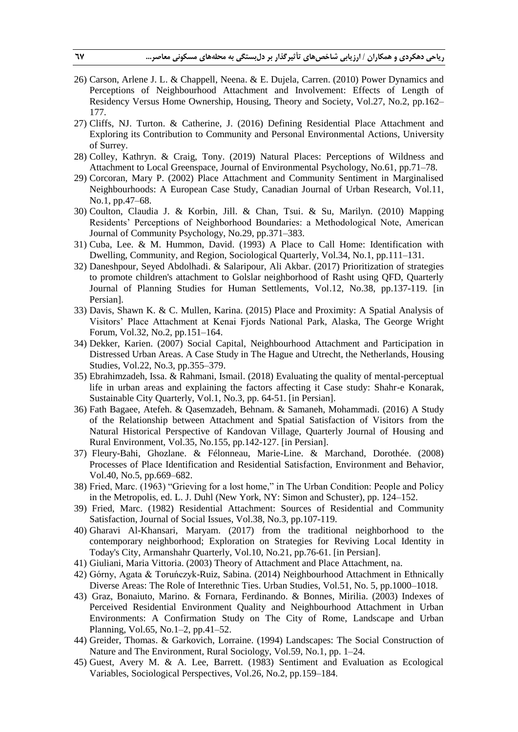- 26) Carson, Arlene J. L. & Chappell, Neena. & E. Dujela, Carren. (2010) Power Dynamics and Perceptions of Neighbourhood Attachment and Involvement: Effects of Length of Residency Versus Home Ownership, Housing, Theory and Society, Vol.27, No.2, pp.162– 177.
- 27) Cliffs, NJ. Turton. & Catherine, J. (2016) Defining Residential Place Attachment and Exploring its Contribution to Community and Personal Environmental Actions, University of Surrey.
- 28) Colley, Kathryn. & Craig, Tony. (2019) Natural Places: Perceptions of Wildness and Attachment to Local Greenspace, Journal of Environmental Psychology, No.61, pp.71–78.
- 29) Corcoran, Mary P. (2002) Place Attachment and Community Sentiment in Marginalised Neighbourhoods: A European Case Study, Canadian Journal of Urban Research, Vol.11, No.1, pp.47–68.
- 30) Coulton, Claudia J. & Korbin, Jill. & Chan, Tsui. & Su, Marilyn. (2010) Mapping Residents' Perceptions of Neighborhood Boundaries: a Methodological Note, American Journal of Community Psychology, No.29, pp.371–383.
- 31) Cuba, Lee. & M. Hummon, David. (1993) A Place to Call Home: Identification with Dwelling, Community, and Region, Sociological Quarterly, Vol.34, No.1, pp.111–131.
- 32) Daneshpour, Seyed Abdolhadi. & Salaripour, Ali Akbar. (2017) Prioritization of strategies to promote children's attachment to Golslar neighborhood of Rasht using QFD, Quarterly Journal of Planning Studies for Human Settlements, Vol.12, No.38, pp.137-119. [in Persian].
- 33) Davis, Shawn K. & C. Mullen, Karina. (2015) Place and Proximity: A Spatial Analysis of Visitors' Place Attachment at Kenai Fjords National Park, Alaska, The George Wright Forum, Vol.32, No.2, pp.151–164.
- 34) Dekker, Karien. (2007) Social Capital, Neighbourhood Attachment and Participation in Distressed Urban Areas. A Case Study in The Hague and Utrecht, the Netherlands, Housing Studies, Vol.22, No.3, pp.355–379.
- 35) Ebrahimzadeh, Issa. & Rahmani, Ismail. (2018) Evaluating the quality of mental-perceptual life in urban areas and explaining the factors affecting it Case study: Shahr-e Konarak, Sustainable City Quarterly, Vol.1, No.3, pp. 64-51. [in Persian].
- 36) Fath Bagaee, Atefeh. & Qasemzadeh, Behnam. & Samaneh, Mohammadi. (2016) A Study of the Relationship between Attachment and Spatial Satisfaction of Visitors from the Natural Historical Perspective of Kandovan Village, Quarterly Journal of Housing and Rural Environment, Vol.35, No.155, pp.142-127. [in Persian].
- 37) Fleury-Bahi, Ghozlane. & Félonneau, Marie-Line. & Marchand, Dorothée. (2008) Processes of Place Identification and Residential Satisfaction, Environment and Behavior, Vol.40, No.5, pp.669–682.
- 38) Fried, Marc. (1963) "Grieving for a lost home," in The Urban Condition: People and Policy in the Metropolis, ed. L. J. Duhl (New York, NY: Simon and Schuster), pp. 124–152.
- 39) Fried, Marc. (1982) Residential Attachment: Sources of Residential and Community Satisfaction, Journal of Social Issues, Vol.38, No.3, pp.107-119.
- 40) Gharavi Al-Khansari, Maryam. (2017) from the traditional neighborhood to the contemporary neighborhood; Exploration on Strategies for Reviving Local Identity in Today's City, Armanshahr Quarterly, Vol.10, No.21, pp.76-61. [in Persian].
- 41) Giuliani, Maria Vittoria. (2003) Theory of Attachment and Place Attachment, na.
- 42) Górny, Agata & Toruńczyk-Ruiz, Sabina. (2014) Neighbourhood Attachment in Ethnically Diverse Areas: The Role of Interethnic Ties. Urban Studies, Vol.51, No. 5, pp.1000–1018.
- 43) Graz, Bonaiuto, Marino. & Fornara, Ferdinando. & Bonnes, Mirilia. (2003) Indexes of Perceived Residential Environment Quality and Neighbourhood Attachment in Urban Environments: A Confirmation Study on The City of Rome, Landscape and Urban Planning, Vol.65, No.1–2, pp.41–52.
- 44) Greider, Thomas. & Garkovich, Lorraine. (1994) Landscapes: The Social Construction of Nature and The Environment, Rural Sociology, Vol.59, No.1, pp. 1–24.
- 45) Guest, Avery M. & A. Lee, Barrett. (1983) Sentiment and Evaluation as Ecological Variables, Sociological Perspectives, Vol.26, No.2, pp.159–184.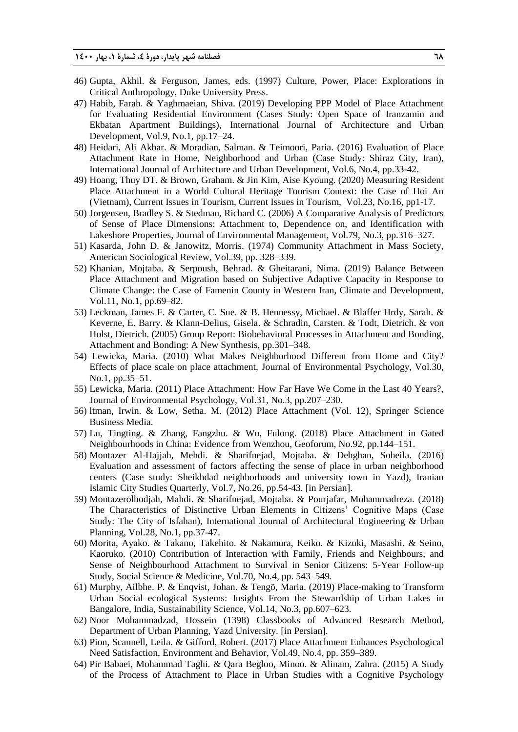- 46) Gupta, Akhil. & Ferguson, James, eds. (1997) Culture, Power, Place: Explorations in Critical Anthropology, Duke University Press.
- 47) Habib, Farah. & Yaghmaeian, Shiva. (2019) Developing PPP Model of Place Attachment for Evaluating Residential Environment (Cases Study: Open Space of Iranzamin and Ekbatan Apartment Buildings), International Journal of Architecture and Urban Development, Vol.9, No.1, pp.17–24.
- 48) Heidari, Ali Akbar. & Moradian, Salman. & Teimoori, Paria. (2016) Evaluation of Place Attachment Rate in Home, Neighborhood and Urban (Case Study: Shiraz City, Iran), International Journal of Architecture and Urban Development, Vol.6, No.4, pp.33-42.
- 49) Hoang, Thuy DT. & Brown, Graham. & Jin Kim, Aise Kyoung. (2020) Measuring Resident Place Attachment in a World Cultural Heritage Tourism Context: the Case of Hoi An (Vietnam), Current Issues in Tourism, Current Issues in Tourism, Vol.23, No.16, pp1-17.
- 50) Jorgensen, Bradley S. & Stedman, Richard C. (2006) A Comparative Analysis of Predictors of Sense of Place Dimensions: Attachment to, Dependence on, and Identification with Lakeshore Properties, Journal of Environmental Management, Vol.79, No.3, pp.316–327.
- 51) Kasarda, John D. & Janowitz, Morris. (1974) Community Attachment in Mass Society, American Sociological Review, Vol.39, pp. 328–339.
- 52) Khanian, Mojtaba. & Serpoush, Behrad. & Gheitarani, Nima. (2019) Balance Between Place Attachment and Migration based on Subjective Adaptive Capacity in Response to Climate Change: the Case of Famenin County in Western Iran, Climate and Development, Vol.11, No.1, pp.69–82.
- 53) Leckman, James F. & Carter, C. Sue. & B. Hennessy, Michael. & Blaffer Hrdy, Sarah. & Keverne, E. Barry. & Klann-Delius, Gisela. & Schradin, Carsten. & Todt, Dietrich. & von Holst, Dietrich. (2005) Group Report: Biobehavioral Processes in Attachment and Bonding, Attachment and Bonding: A New Synthesis, pp.301–348.
- 54) Lewicka, Maria. (2010) What Makes Neighborhood Different from Home and City? Effects of place scale on place attachment, Journal of Environmental Psychology, Vol.30, No.1, pp.35–51.
- 55) Lewicka, Maria. (2011) Place Attachment: How Far Have We Come in the Last 40 Years?, Journal of Environmental Psychology, Vol.31, No.3, pp.207–230.
- 56) ltman, Irwin. & Low, Setha. M. (2012) Place Attachment (Vol. 12), Springer Science Business Media.
- 57) Lu, Tingting. & Zhang, Fangzhu. & Wu, Fulong. (2018) Place Attachment in Gated Neighbourhoods in China: Evidence from Wenzhou, Geoforum, No.92, pp.144–151.
- 58) Montazer Al-Hajjah, Mehdi. & Sharifnejad, Mojtaba. & Dehghan, Soheila. (2016) Evaluation and assessment of factors affecting the sense of place in urban neighborhood centers (Case study: Sheikhdad neighborhoods and university town in Yazd), Iranian Islamic City Studies Quarterly, Vol.7, No.26, pp.54-43. [in Persian].
- 59) Montazerolhodjah, Mahdi. & Sharifnejad, Mojtaba. & Pourjafar, Mohammadreza. (2018) The Characteristics of Distinctive Urban Elements in Citizens' Cognitive Maps (Case Study: The City of Isfahan), International Journal of Architectural Engineering & Urban Planning, Vol.28, No.1, pp.37-47.
- 60) Morita, Ayako. & Takano, Takehito. & Nakamura, Keiko. & Kizuki, Masashi. & Seino, Kaoruko. (2010) Contribution of Interaction with Family, Friends and Neighbours, and Sense of Neighbourhood Attachment to Survival in Senior Citizens: 5-Year Follow-up Study, Social Science & Medicine, Vol.70, No.4, pp. 543–549.
- 61) Murphy, Ailbhe. P. & Enqvist, Johan. & Tengö, Maria. (2019) Place-making to Transform Urban Social–ecological Systems: Insights From the Stewardship of Urban Lakes in Bangalore, India, Sustainability Science, Vol.14, No.3, pp.607–623.
- 62) Noor Mohammadzad, Hossein (1398) Classbooks of Advanced Research Method, Department of Urban Planning, Yazd University. [in Persian].
- 63) Pion, Scannell, Leila. & Gifford, Robert. (2017) Place Attachment Enhances Psychological Need Satisfaction, Environment and Behavior, Vol.49, No.4, pp. 359–389.
- 64) Pir Babaei, Mohammad Taghi. & Qara Begloo, Minoo. & Alinam, Zahra. (2015) A Study of the Process of Attachment to Place in Urban Studies with a Cognitive Psychology